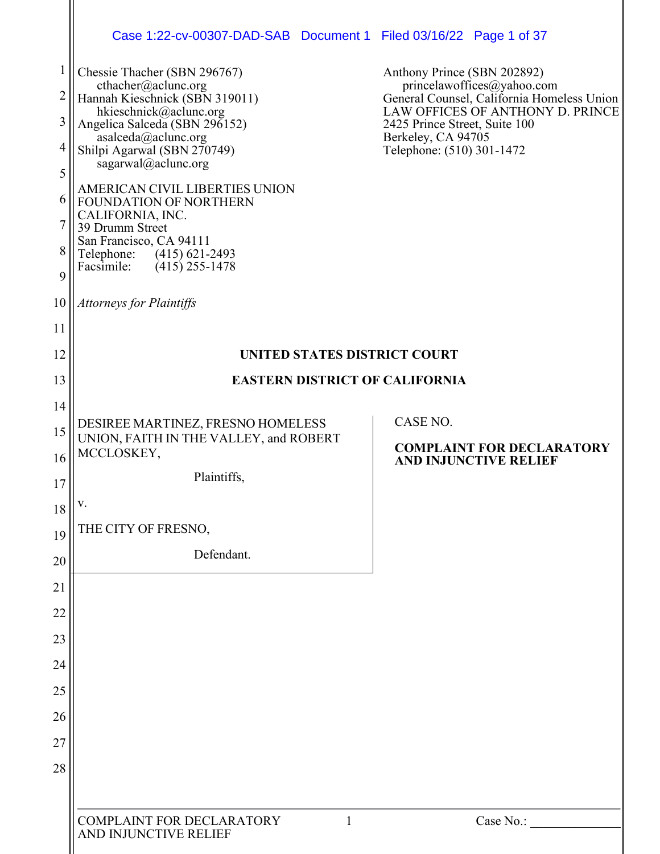|                | Case 1:22-cv-00307-DAD-SAB Document 1 Filed 03/16/22 Page 1 of 37               |                                                                                                              |
|----------------|---------------------------------------------------------------------------------|--------------------------------------------------------------------------------------------------------------|
| $\mathbf 1$    | Chessie Thacher (SBN 296767)                                                    | Anthony Prince (SBN 202892)                                                                                  |
| $\overline{c}$ | cthacher@aclunc.org<br>Hannah Kieschnick (SBN 319011)<br>hkieschnick@aclunc.org | princelawoffices@yahoo.com<br>General Counsel, California Homeless Union<br>LAW OFFICES OF ANTHONY D. PRINCE |
| 3              | Angelica Salceda (SBN 296152)                                                   | 2425 Prince Street, Suite 100<br>Berkeley, CA 94705                                                          |
| 4              | asalceda@aclunc.org<br>Shilpi Agarwal (SBN 270749)<br>sagarwal@aclunc.org       | Telephone: (510) 301-1472                                                                                    |
| 5              | AMERICAN CIVIL LIBERTIES UNION                                                  |                                                                                                              |
| 6              | FOUNDATION OF NORTHERN<br>CALIFORNIA, INC.                                      |                                                                                                              |
| 8              | 39 Drumm Street<br>San Francisco, CA 94111                                      |                                                                                                              |
| 9              | Telephone: (415) 621-2493<br>Facsimile:<br>$(415)$ 255-1478                     |                                                                                                              |
| 10             | <b>Attorneys for Plaintiffs</b>                                                 |                                                                                                              |
| 11             |                                                                                 |                                                                                                              |
| 12             | <b>UNITED STATES DISTRICT COURT</b>                                             |                                                                                                              |
| 13             | <b>EASTERN DISTRICT OF CALIFORNIA</b>                                           |                                                                                                              |
| 14             | DESIREE MARTINEZ, FRESNO HOMELESS                                               | CASE NO.                                                                                                     |
| 15<br>16       | UNION, FAITH IN THE VALLEY, and ROBERT<br>MCCLOSKEY,                            | <b>COMPLAINT FOR DECLARATORY</b>                                                                             |
| 17             | Plaintiffs,                                                                     | <b>AND INJUNCTIVE RELIEF</b>                                                                                 |
| 18             | v.                                                                              |                                                                                                              |
| 19             | THE CITY OF FRESNO,                                                             |                                                                                                              |
| 20             | Defendant.                                                                      |                                                                                                              |
| 21             |                                                                                 |                                                                                                              |
| 22             |                                                                                 |                                                                                                              |
| 23             |                                                                                 |                                                                                                              |
| 24             |                                                                                 |                                                                                                              |
| 25             |                                                                                 |                                                                                                              |
| 26<br>27       |                                                                                 |                                                                                                              |
| 28             |                                                                                 |                                                                                                              |
|                |                                                                                 |                                                                                                              |
|                | COMPLAINT FOR DECLARATORY<br>1<br>AND INJUNCTIVE RELIEF                         | Case No.:                                                                                                    |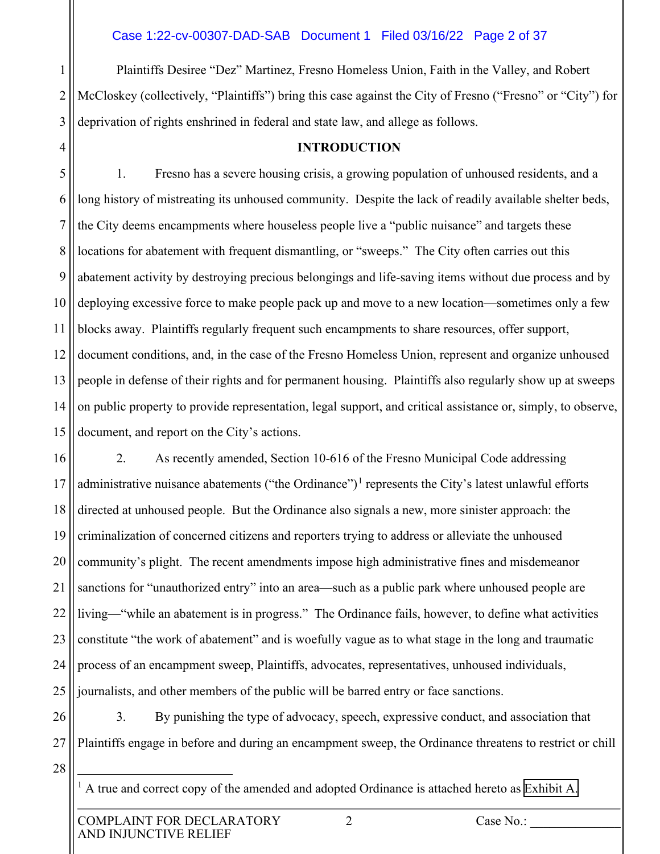1 2 3 Plaintiffs Desiree "Dez" Martinez, Fresno Homeless Union, Faith in the Valley, and Robert McCloskey (collectively, "Plaintiffs") bring this case against the City of Fresno ("Fresno" or "City") for deprivation of rights enshrined in federal and state law, and allege as follows.

**INTRODUCTION**

5 6 7 8 9 10 11 12 13 14 15 1. Fresno has a severe housing crisis, a growing population of unhoused residents, and a long history of mistreating its unhoused community. Despite the lack of readily available shelter beds, the City deems encampments where houseless people live a "public nuisance" and targets these locations for abatement with frequent dismantling, or "sweeps." The City often carries out this abatement activity by destroying precious belongings and life-saving items without due process and by deploying excessive force to make people pack up and move to a new location—sometimes only a few blocks away. Plaintiffs regularly frequent such encampments to share resources, offer support, document conditions, and, in the case of the Fresno Homeless Union, represent and organize unhoused people in defense of their rights and for permanent housing. Plaintiffs also regularly show up at sweeps on public property to provide representation, legal support, and critical assistance or, simply, to observe, document, and report on the City's actions.

16 17 18 19 20 21 22 23 24 25 2. As recently amended, Section 10-616 of the Fresno Municipal Code addressing administrative nuisance abatements ("the Ordinance")<sup>[1](#page-1-0)</sup> represents the City's latest unlawful efforts directed at unhoused people. But the Ordinance also signals a new, more sinister approach: the criminalization of concerned citizens and reporters trying to address or alleviate the unhoused community's plight. The recent amendments impose high administrative fines and misdemeanor sanctions for "unauthorized entry" into an area—such as a public park where unhoused people are living—"while an abatement is in progress." The Ordinance fails, however, to define what activities constitute "the work of abatement" and is woefully vague as to what stage in the long and traumatic process of an encampment sweep, Plaintiffs, advocates, representatives, unhoused individuals, journalists, and other members of the public will be barred entry or face sanctions.

26 27 3. By punishing the type of advocacy, speech, expressive conduct, and association that Plaintiffs engage in before and during an encampment sweep, the Ordinance threatens to restrict or chill

<span id="page-1-0"></span>28

4

<sup>1</sup> A true and correct copy of the amended and adopted Ordinance is attached hereto as Exhibit A.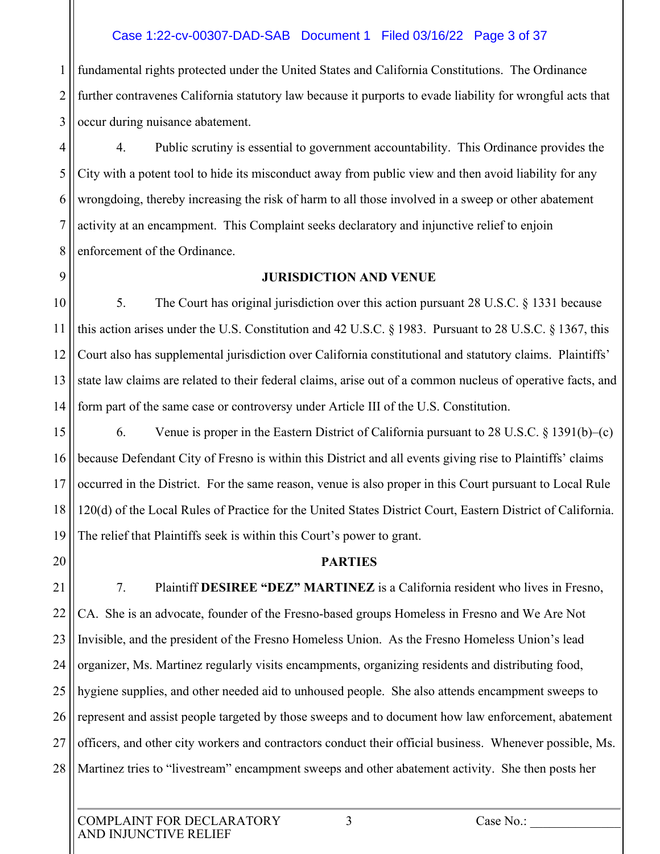#### Case 1:22-cv-00307-DAD-SAB Document 1 Filed 03/16/22 Page 3 of 37

1 2 3 fundamental rights protected under the United States and California Constitutions. The Ordinance further contravenes California statutory law because it purports to evade liability for wrongful acts that occur during nuisance abatement.

4 5 6 7 8 4. Public scrutiny is essential to government accountability. This Ordinance provides the City with a potent tool to hide its misconduct away from public view and then avoid liability for any wrongdoing, thereby increasing the risk of harm to all those involved in a sweep or other abatement activity at an encampment. This Complaint seeks declaratory and injunctive relief to enjoin enforcement of the Ordinance.

9

#### **JURISDICTION AND VENUE**

10 11 12 13 14 5. The Court has original jurisdiction over this action pursuant 28 U.S.C. § 1331 because this action arises under the U.S. Constitution and 42 U.S.C. § 1983. Pursuant to 28 U.S.C. § 1367, this Court also has supplemental jurisdiction over California constitutional and statutory claims. Plaintiffs' state law claims are related to their federal claims, arise out of a common nucleus of operative facts, and form part of the same case or controversy under Article III of the U.S. Constitution.

15 16 17 18 19 6. Venue is proper in the Eastern District of California pursuant to 28 U.S.C. § 1391(b)–(c) because Defendant City of Fresno is within this District and all events giving rise to Plaintiffs' claims occurred in the District. For the same reason, venue is also proper in this Court pursuant to Local Rule 120(d) of the Local Rules of Practice for the United States District Court, Eastern District of California. The relief that Plaintiffs seek is within this Court's power to grant.

20

#### **PARTIES**

21 22 23 24 25 26 27 28 7. Plaintiff **DESIREE "DEZ" MARTINEZ** is a California resident who lives in Fresno, CA. She is an advocate, founder of the Fresno-based groups Homeless in Fresno and We Are Not Invisible, and the president of the Fresno Homeless Union. As the Fresno Homeless Union's lead organizer, Ms. Martinez regularly visits encampments, organizing residents and distributing food, hygiene supplies, and other needed aid to unhoused people. She also attends encampment sweeps to represent and assist people targeted by those sweeps and to document how law enforcement, abatement officers, and other city workers and contractors conduct their official business. Whenever possible, Ms. Martinez tries to "livestream" encampment sweeps and other abatement activity. She then posts her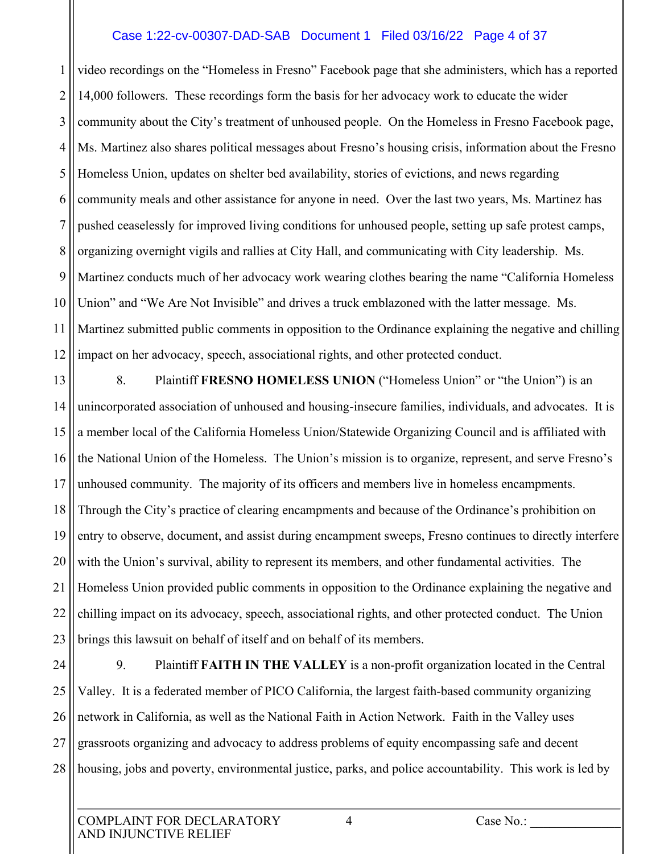#### Case 1:22-cv-00307-DAD-SAB Document 1 Filed 03/16/22 Page 4 of 37

1 2 3 4 5 6 7 8 9 10 11 12 video recordings on the "Homeless in Fresno" Facebook page that she administers, which has a reported 14,000 followers. These recordings form the basis for her advocacy work to educate the wider community about the City's treatment of unhoused people. On the Homeless in Fresno Facebook page, Ms. Martinez also shares political messages about Fresno's housing crisis, information about the Fresno Homeless Union, updates on shelter bed availability, stories of evictions, and news regarding community meals and other assistance for anyone in need. Over the last two years, Ms. Martinez has pushed ceaselessly for improved living conditions for unhoused people, setting up safe protest camps, organizing overnight vigils and rallies at City Hall, and communicating with City leadership. Ms. Martinez conducts much of her advocacy work wearing clothes bearing the name "California Homeless Union" and "We Are Not Invisible" and drives a truck emblazoned with the latter message. Ms. Martinez submitted public comments in opposition to the Ordinance explaining the negative and chilling impact on her advocacy, speech, associational rights, and other protected conduct.

13 14 15 16 17 18 19 20 21 22 23 8. Plaintiff **FRESNO HOMELESS UNION** ("Homeless Union" or "the Union") is an unincorporated association of unhoused and housing-insecure families, individuals, and advocates. It is a member local of the California Homeless Union/Statewide Organizing Council and is affiliated with the National Union of the Homeless. The Union's mission is to organize, represent, and serve Fresno's unhoused community. The majority of its officers and members live in homeless encampments. Through the City's practice of clearing encampments and because of the Ordinance's prohibition on entry to observe, document, and assist during encampment sweeps, Fresno continues to directly interfere with the Union's survival, ability to represent its members, and other fundamental activities. The Homeless Union provided public comments in opposition to the Ordinance explaining the negative and chilling impact on its advocacy, speech, associational rights, and other protected conduct. The Union brings this lawsuit on behalf of itself and on behalf of its members.

24 25 26 27 28 9. Plaintiff **FAITH IN THE VALLEY** is a non-profit organization located in the Central Valley. It is a federated member of PICO California, the largest faith-based community organizing network in California, as well as the National Faith in Action Network. Faith in the Valley uses grassroots organizing and advocacy to address problems of equity encompassing safe and decent housing, jobs and poverty, environmental justice, parks, and police accountability. This work is led by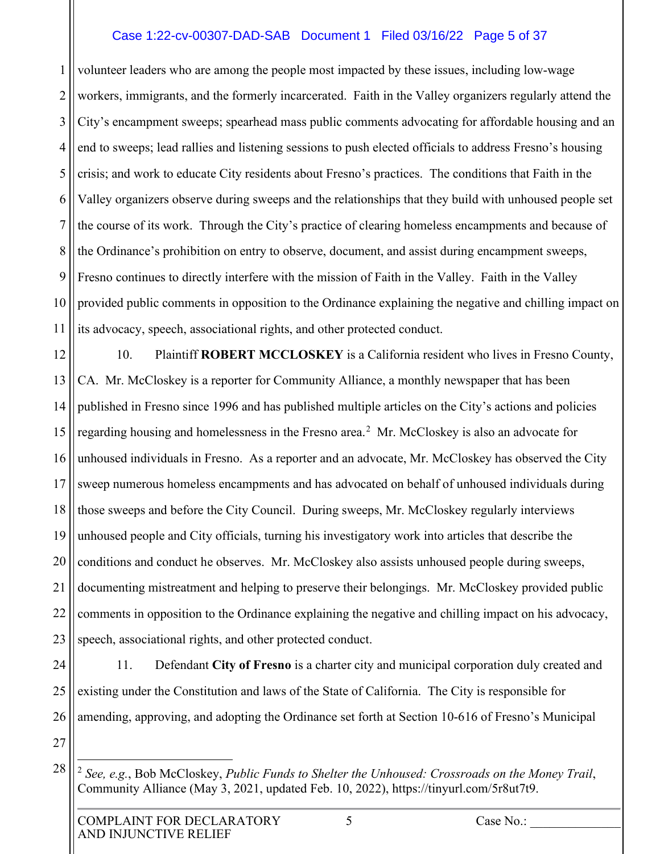#### Case 1:22-cv-00307-DAD-SAB Document 1 Filed 03/16/22 Page 5 of 37

1 2 3 4 5 6 7 8 9 10 11 volunteer leaders who are among the people most impacted by these issues, including low-wage workers, immigrants, and the formerly incarcerated. Faith in the Valley organizers regularly attend the City's encampment sweeps; spearhead mass public comments advocating for affordable housing and an end to sweeps; lead rallies and listening sessions to push elected officials to address Fresno's housing crisis; and work to educate City residents about Fresno's practices. The conditions that Faith in the Valley organizers observe during sweeps and the relationships that they build with unhoused people set the course of its work. Through the City's practice of clearing homeless encampments and because of the Ordinance's prohibition on entry to observe, document, and assist during encampment sweeps, Fresno continues to directly interfere with the mission of Faith in the Valley. Faith in the Valley provided public comments in opposition to the Ordinance explaining the negative and chilling impact on its advocacy, speech, associational rights, and other protected conduct.

12 13 14 15 16 17 18 19 20 21 22 23 10. Plaintiff **ROBERT MCCLOSKEY** is a California resident who lives in Fresno County, CA. Mr. McCloskey is a reporter for Community Alliance, a monthly newspaper that has been published in Fresno since 1996 and has published multiple articles on the City's actions and policies regarding housing and homelessness in the Fresno area.<sup>[2](#page-4-0)</sup> Mr. McCloskey is also an advocate for unhoused individuals in Fresno. As a reporter and an advocate, Mr. McCloskey has observed the City sweep numerous homeless encampments and has advocated on behalf of unhoused individuals during those sweeps and before the City Council. During sweeps, Mr. McCloskey regularly interviews unhoused people and City officials, turning his investigatory work into articles that describe the conditions and conduct he observes. Mr. McCloskey also assists unhoused people during sweeps, documenting mistreatment and helping to preserve their belongings. Mr. McCloskey provided public comments in opposition to the Ordinance explaining the negative and chilling impact on his advocacy, speech, associational rights, and other protected conduct.

24

25

26

11. Defendant **City of Fresno** is a charter city and municipal corporation duly created and existing under the Constitution and laws of the State of California. The City is responsible for amending, approving, and adopting the Ordinance set forth at Section 10-616 of Fresno's Municipal

<span id="page-4-0"></span>27

<sup>2</sup> *See, e.g.*, Bob McCloskey, *Public Funds to Shelter the Unhoused: Crossroads on the Money Trail*, Community Alliance (May 3, 2021, updated Feb. 10, 2022), https://tinyurl.com/5r8ut7t9.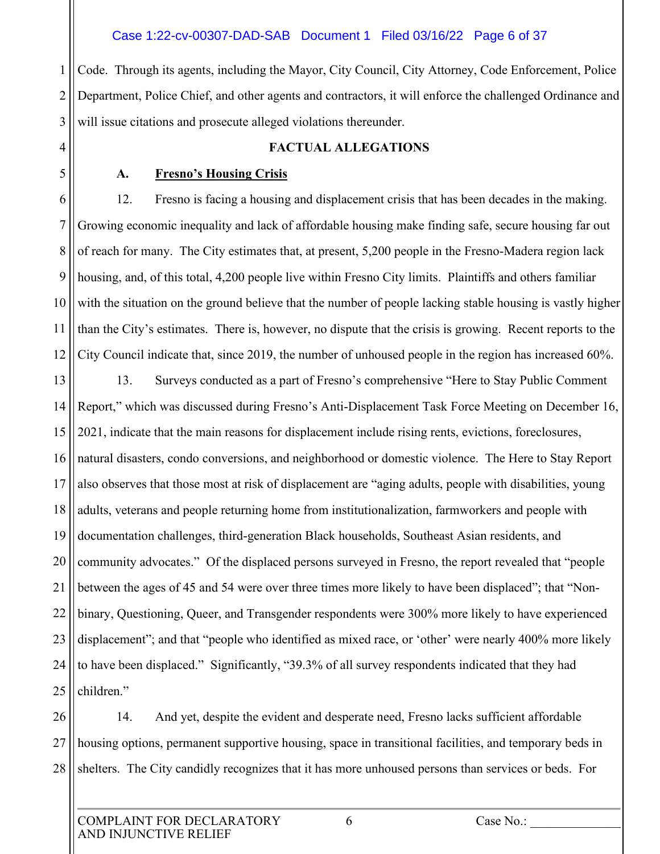1 2 3 Code. Through its agents, including the Mayor, City Council, City Attorney, Code Enforcement, Police Department, Police Chief, and other agents and contractors, it will enforce the challenged Ordinance and will issue citations and prosecute alleged violations thereunder.

4

5

# **FACTUAL ALLEGATIONS**

## **A. Fresno's Housing Crisis**

6 7 8 9 10 11 12 12. Fresno is facing a housing and displacement crisis that has been decades in the making. Growing economic inequality and lack of affordable housing make finding safe, secure housing far out of reach for many. The City estimates that, at present, 5,200 people in the Fresno-Madera region lack housing, and, of this total, 4,200 people live within Fresno City limits. Plaintiffs and others familiar with the situation on the ground believe that the number of people lacking stable housing is vastly higher than the City's estimates. There is, however, no dispute that the crisis is growing. Recent reports to the City Council indicate that, since 2019, the number of unhoused people in the region has increased 60%.

13 14 15 16 17 18 19 20 21 22 23 24 25 13. Surveys conducted as a part of Fresno's comprehensive "Here to Stay Public Comment Report," which was discussed during Fresno's Anti-Displacement Task Force Meeting on December 16, 2021, indicate that the main reasons for displacement include rising rents, evictions, foreclosures, natural disasters, condo conversions, and neighborhood or domestic violence. The Here to Stay Report also observes that those most at risk of displacement are "aging adults, people with disabilities, young adults, veterans and people returning home from institutionalization, farmworkers and people with documentation challenges, third-generation Black households, Southeast Asian residents, and community advocates." Of the displaced persons surveyed in Fresno, the report revealed that "people between the ages of 45 and 54 were over three times more likely to have been displaced"; that "Nonbinary, Questioning, Queer, and Transgender respondents were 300% more likely to have experienced displacement"; and that "people who identified as mixed race, or 'other' were nearly 400% more likely to have been displaced." Significantly, "39.3% of all survey respondents indicated that they had children."

26 27 28 14. And yet, despite the evident and desperate need, Fresno lacks sufficient affordable housing options, permanent supportive housing, space in transitional facilities, and temporary beds in shelters. The City candidly recognizes that it has more unhoused persons than services or beds. For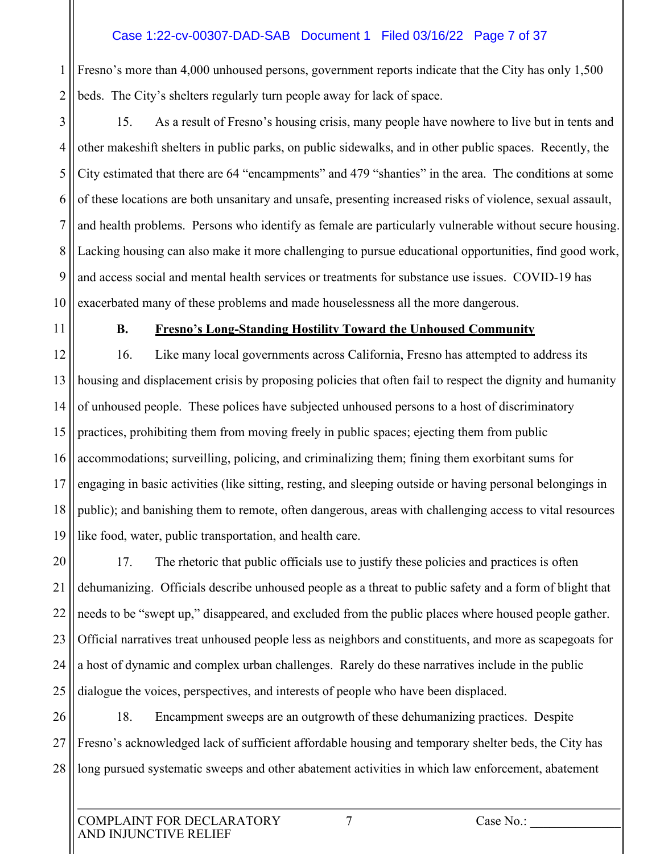### Case 1:22-cv-00307-DAD-SAB Document 1 Filed 03/16/22 Page 7 of 37

1 2 Fresno's more than 4,000 unhoused persons, government reports indicate that the City has only 1,500 beds. The City's shelters regularly turn people away for lack of space.

3 4 5 6 7 8 9 10 15. As a result of Fresno's housing crisis, many people have nowhere to live but in tents and other makeshift shelters in public parks, on public sidewalks, and in other public spaces. Recently, the City estimated that there are 64 "encampments" and 479 "shanties" in the area. The conditions at some of these locations are both unsanitary and unsafe, presenting increased risks of violence, sexual assault, and health problems. Persons who identify as female are particularly vulnerable without secure housing. Lacking housing can also make it more challenging to pursue educational opportunities, find good work, and access social and mental health services or treatments for substance use issues. COVID-19 has exacerbated many of these problems and made houselessness all the more dangerous.

11

## **B. Fresno's Long-Standing Hostility Toward the Unhoused Community**

12 13 14 15 16 17 18 19 16. Like many local governments across California, Fresno has attempted to address its housing and displacement crisis by proposing policies that often fail to respect the dignity and humanity of unhoused people. These polices have subjected unhoused persons to a host of discriminatory practices, prohibiting them from moving freely in public spaces; ejecting them from public accommodations; surveilling, policing, and criminalizing them; fining them exorbitant sums for engaging in basic activities (like sitting, resting, and sleeping outside or having personal belongings in public); and banishing them to remote, often dangerous, areas with challenging access to vital resources like food, water, public transportation, and health care.

20 21 22 23 24 25 17. The rhetoric that public officials use to justify these policies and practices is often dehumanizing. Officials describe unhoused people as a threat to public safety and a form of blight that needs to be "swept up," disappeared, and excluded from the public places where housed people gather. Official narratives treat unhoused people less as neighbors and constituents, and more as scapegoats for a host of dynamic and complex urban challenges. Rarely do these narratives include in the public dialogue the voices, perspectives, and interests of people who have been displaced.

26 27 28 18. Encampment sweeps are an outgrowth of these dehumanizing practices. Despite Fresno's acknowledged lack of sufficient affordable housing and temporary shelter beds, the City has long pursued systematic sweeps and other abatement activities in which law enforcement, abatement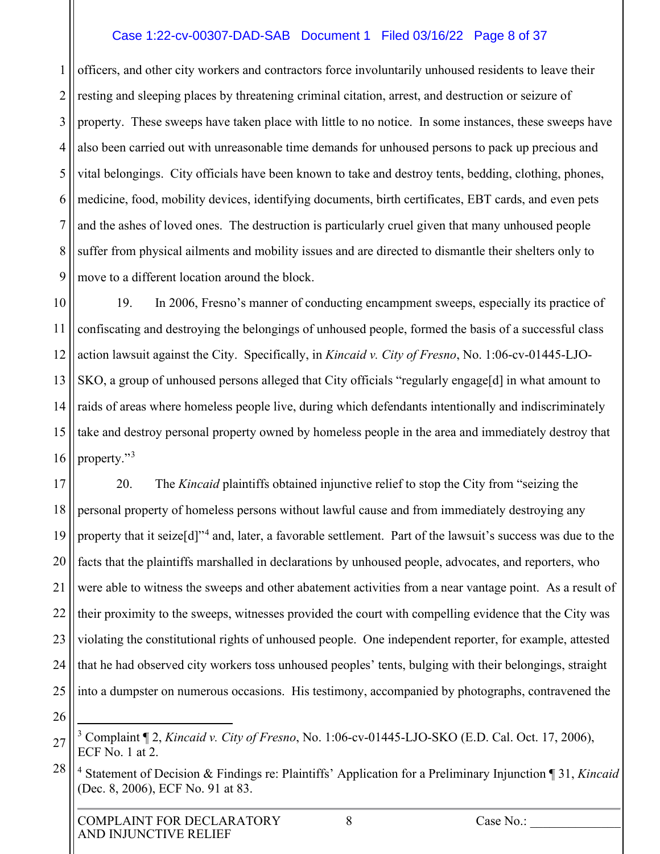#### Case 1:22-cv-00307-DAD-SAB Document 1 Filed 03/16/22 Page 8 of 37

1 2 3 4 5 6 7 8 9 officers, and other city workers and contractors force involuntarily unhoused residents to leave their resting and sleeping places by threatening criminal citation, arrest, and destruction or seizure of property. These sweeps have taken place with little to no notice. In some instances, these sweeps have also been carried out with unreasonable time demands for unhoused persons to pack up precious and vital belongings. City officials have been known to take and destroy tents, bedding, clothing, phones, medicine, food, mobility devices, identifying documents, birth certificates, EBT cards, and even pets and the ashes of loved ones. The destruction is particularly cruel given that many unhoused people suffer from physical ailments and mobility issues and are directed to dismantle their shelters only to move to a different location around the block.

10 11 12 13 14 15 16 19. In 2006, Fresno's manner of conducting encampment sweeps, especially its practice of confiscating and destroying the belongings of unhoused people, formed the basis of a successful class action lawsuit against the City. Specifically, in *Kincaid v. City of Fresno*, No. 1:06-cv-01445-LJO-SKO, a group of unhoused persons alleged that City officials "regularly engage[d] in what amount to raids of areas where homeless people live, during which defendants intentionally and indiscriminately take and destroy personal property owned by homeless people in the area and immediately destroy that property."[3](#page-7-0)

17 18 19 20 21 22 23 24 25 20. The *Kincaid* plaintiffs obtained injunctive relief to stop the City from "seizing the personal property of homeless persons without lawful cause and from immediately destroying any property that it seize[d]"<sup>[4](#page-7-1)</sup> and, later, a favorable settlement. Part of the lawsuit's success was due to the facts that the plaintiffs marshalled in declarations by unhoused people, advocates, and reporters, who were able to witness the sweeps and other abatement activities from a near vantage point. As a result of their proximity to the sweeps, witnesses provided the court with compelling evidence that the City was violating the constitutional rights of unhoused people. One independent reporter, for example, attested that he had observed city workers toss unhoused peoples' tents, bulging with their belongings, straight into a dumpster on numerous occasions. His testimony, accompanied by photographs, contravened the

26

<span id="page-7-0"></span>27

<span id="page-7-1"></span>28 <sup>4</sup> Statement of Decision & Findings re: Plaintiffs' Application for a Preliminary Injunction ¶ 31, *Kincaid*  (Dec. 8, 2006), ECF No. 91 at 83.

<sup>3</sup> Complaint ¶ 2, *Kincaid v. City of Fresno*, No. 1:06-cv-01445-LJO-SKO (E.D. Cal. Oct. 17, 2006), ECF No. 1 at 2.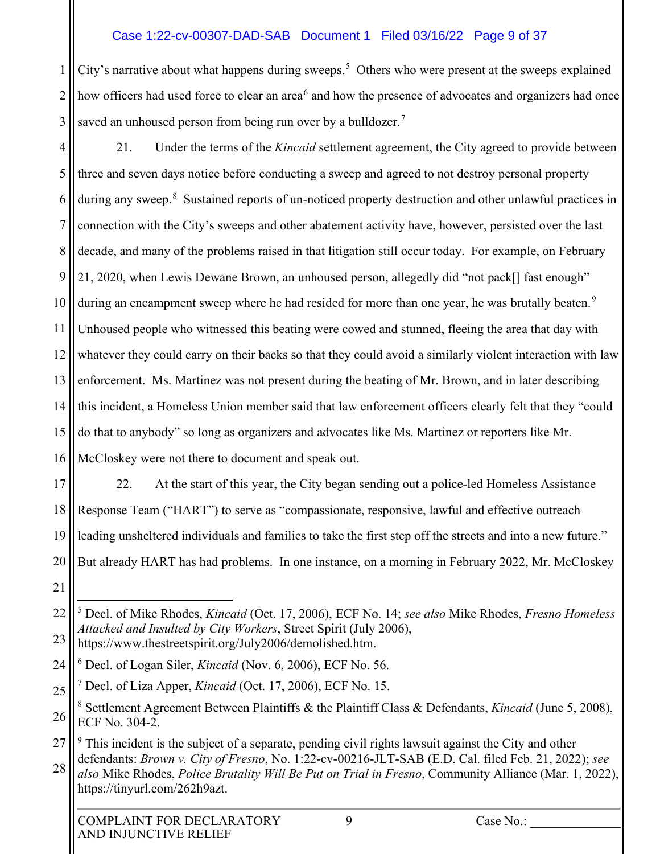# Case 1:22-cv-00307-DAD-SAB Document 1 Filed 03/16/22 Page 9 of 37

1 2 3 City's narrative about what happens during sweeps.<sup>[5](#page-8-0)</sup> Others who were present at the sweeps explained how officers had used force to clear an area<sup>[6](#page-8-1)</sup> and how the presence of advocates and organizers had once saved an unhoused person from being run over by a bulldozer.<sup>[7](#page-8-2)</sup>

4 5 6 7 8 9 10 11 12 13 14 15 16 21. Under the terms of the *Kincaid* settlement agreement, the City agreed to provide between three and seven days notice before conducting a sweep and agreed to not destroy personal property during any sweep.<sup>[8](#page-8-3)</sup> Sustained reports of un-noticed property destruction and other unlawful practices in connection with the City's sweeps and other abatement activity have, however, persisted over the last decade, and many of the problems raised in that litigation still occur today. For example, on February 21, 2020, when Lewis Dewane Brown, an unhoused person, allegedly did "not pack[] fast enough" during an encampment sweep where he had resided for more than one year, he was brutally beaten.<sup>[9](#page-8-4)</sup> Unhoused people who witnessed this beating were cowed and stunned, fleeing the area that day with whatever they could carry on their backs so that they could avoid a similarly violent interaction with law enforcement. Ms. Martinez was not present during the beating of Mr. Brown, and in later describing this incident, a Homeless Union member said that law enforcement officers clearly felt that they "could do that to anybody" so long as organizers and advocates like Ms. Martinez or reporters like Mr. McCloskey were not there to document and speak out.

17 18 19 20 22. At the start of this year, the City began sending out a police-led Homeless Assistance Response Team ("HART") to serve as "compassionate, responsive, lawful and effective outreach leading unsheltered individuals and families to take the first step off the streets and into a new future." But already HART has had problems. In one instance, on a morning in February 2022, Mr. McCloskey

<span id="page-8-0"></span><sup>22</sup> 23 5 Decl. of Mike Rhodes, *Kincaid* (Oct. 17, 2006), ECF No. 14; *see also* Mike Rhodes, *Fresno Homeless Attacked and Insulted by City Workers*, Street Spirit (July 2006), https://www.thestreetspirit.org/July2006/demolished.htm.

<span id="page-8-1"></span><sup>24</sup> 6 Decl. of Logan Siler, *Kincaid* (Nov. 6, 2006), ECF No. 56.

<span id="page-8-2"></span><sup>25</sup> 7 Decl. of Liza Apper, *Kincaid* (Oct. 17, 2006), ECF No. 15.

<span id="page-8-3"></span><sup>26</sup> <sup>8</sup> Settlement Agreement Between Plaintiffs & the Plaintiff Class & Defendants, *Kincaid* (June 5, 2008), ECF No. 304-2.

<span id="page-8-4"></span><sup>27</sup> <sup>9</sup> This incident is the subject of a separate, pending civil rights lawsuit against the City and other defendants: *Brown v. City of Fresno*, No. 1:22-cv-00216-JLT-SAB (E.D. Cal. filed Feb. 21, 2022); *see* 

<sup>28</sup> *also* Mike Rhodes, *Police Brutality Will Be Put on Trial in Fresno*, Community Alliance (Mar. 1, 2022), https://tinyurl.com/262h9azt.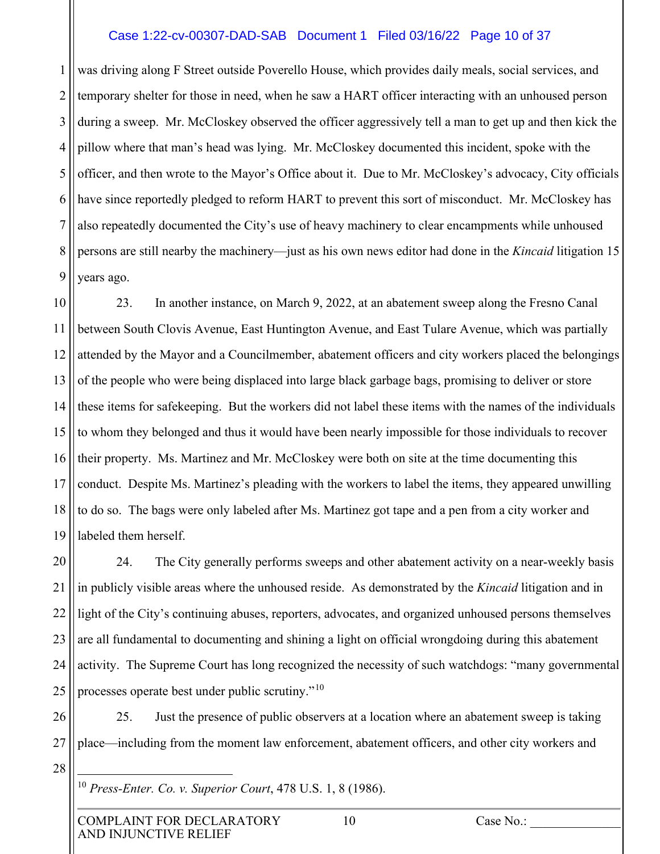#### Case 1:22-cv-00307-DAD-SAB Document 1 Filed 03/16/22 Page 10 of 37

1 2 3 4 5 6 7 8 9 was driving along F Street outside Poverello House, which provides daily meals, social services, and temporary shelter for those in need, when he saw a HART officer interacting with an unhoused person during a sweep. Mr. McCloskey observed the officer aggressively tell a man to get up and then kick the pillow where that man's head was lying. Mr. McCloskey documented this incident, spoke with the officer, and then wrote to the Mayor's Office about it. Due to Mr. McCloskey's advocacy, City officials have since reportedly pledged to reform HART to prevent this sort of misconduct. Mr. McCloskey has also repeatedly documented the City's use of heavy machinery to clear encampments while unhoused persons are still nearby the machinery—just as his own news editor had done in the *Kincaid* litigation 15 years ago.

10 11 12 13 14 15 16 17 18 19 23. In another instance, on March 9, 2022, at an abatement sweep along the Fresno Canal between South Clovis Avenue, East Huntington Avenue, and East Tulare Avenue, which was partially attended by the Mayor and a Councilmember, abatement officers and city workers placed the belongings of the people who were being displaced into large black garbage bags, promising to deliver or store these items for safekeeping. But the workers did not label these items with the names of the individuals to whom they belonged and thus it would have been nearly impossible for those individuals to recover their property. Ms. Martinez and Mr. McCloskey were both on site at the time documenting this conduct. Despite Ms. Martinez's pleading with the workers to label the items, they appeared unwilling to do so. The bags were only labeled after Ms. Martinez got tape and a pen from a city worker and labeled them herself.

20 21 22 23 24 25 24. The City generally performs sweeps and other abatement activity on a near-weekly basis in publicly visible areas where the unhoused reside. As demonstrated by the *Kincaid* litigation and in light of the City's continuing abuses, reporters, advocates, and organized unhoused persons themselves are all fundamental to documenting and shining a light on official wrongdoing during this abatement activity. The Supreme Court has long recognized the necessity of such watchdogs: "many governmental processes operate best under public scrutiny."<sup>[10](#page-9-0)</sup>

26 27 28 25. Just the presence of public observers at a location where an abatement sweep is taking place—including from the moment law enforcement, abatement officers, and other city workers and

<span id="page-9-0"></span><sup>10</sup> *Press-Enter. Co. v. Superior Court*, 478 U.S. 1, 8 (1986).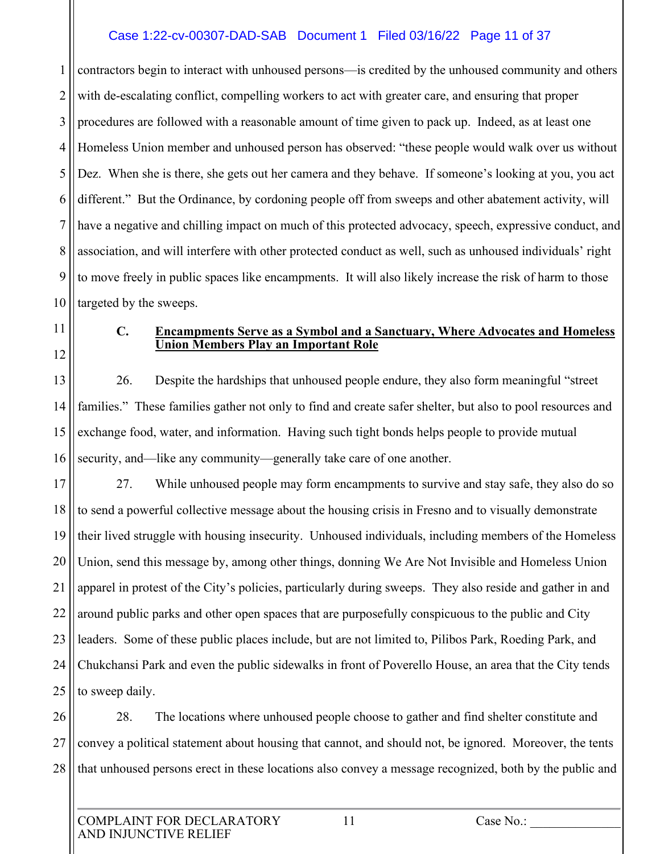### Case 1:22-cv-00307-DAD-SAB Document 1 Filed 03/16/22 Page 11 of 37

1 2 3 4 5 6 7 8 9 10 contractors begin to interact with unhoused persons—is credited by the unhoused community and others with de-escalating conflict, compelling workers to act with greater care, and ensuring that proper procedures are followed with a reasonable amount of time given to pack up. Indeed, as at least one Homeless Union member and unhoused person has observed: "these people would walk over us without Dez. When she is there, she gets out her camera and they behave. If someone's looking at you, you act different." But the Ordinance, by cordoning people off from sweeps and other abatement activity, will have a negative and chilling impact on much of this protected advocacy, speech, expressive conduct, and association, and will interfere with other protected conduct as well, such as unhoused individuals' right to move freely in public spaces like encampments. It will also likely increase the risk of harm to those targeted by the sweeps.

- 11
- 12

#### **C. Encampments Serve as a Symbol and a Sanctuary, Where Advocates and Homeless Union Members Play an Important Role**

13 14 15 16 26. Despite the hardships that unhoused people endure, they also form meaningful "street families." These families gather not only to find and create safer shelter, but also to pool resources and exchange food, water, and information. Having such tight bonds helps people to provide mutual security, and—like any community—generally take care of one another.

17 18 19 20 21 22 23 24 25 27. While unhoused people may form encampments to survive and stay safe, they also do so to send a powerful collective message about the housing crisis in Fresno and to visually demonstrate their lived struggle with housing insecurity. Unhoused individuals, including members of the Homeless Union, send this message by, among other things, donning We Are Not Invisible and Homeless Union apparel in protest of the City's policies, particularly during sweeps. They also reside and gather in and around public parks and other open spaces that are purposefully conspicuous to the public and City leaders. Some of these public places include, but are not limited to, Pilibos Park, Roeding Park, and Chukchansi Park and even the public sidewalks in front of Poverello House, an area that the City tends to sweep daily.

26 27 28 28. The locations where unhoused people choose to gather and find shelter constitute and convey a political statement about housing that cannot, and should not, be ignored. Moreover, the tents that unhoused persons erect in these locations also convey a message recognized, both by the public and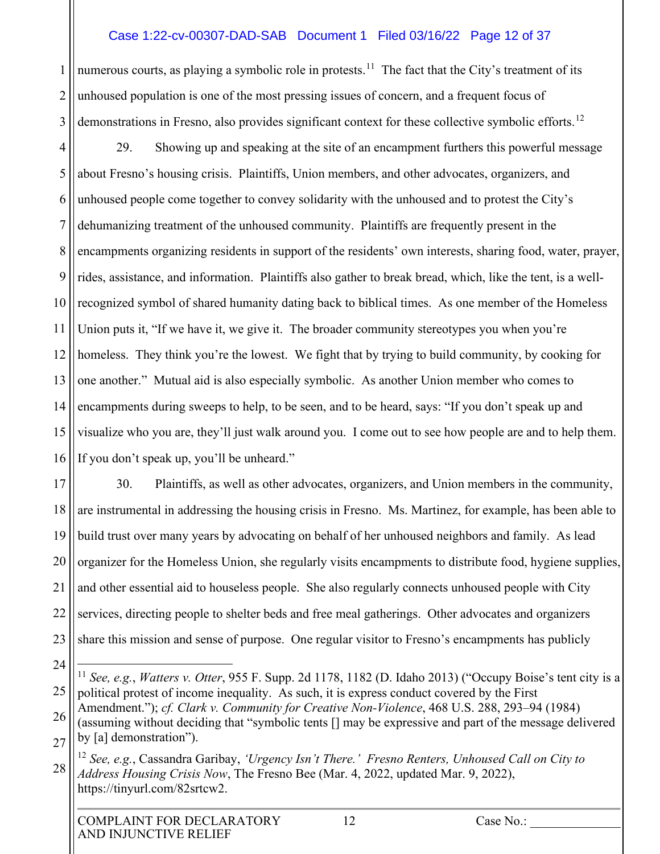#### Case 1:22-cv-00307-DAD-SAB Document 1 Filed 03/16/22 Page 12 of 37

1 2 3 numerous courts, as playing a symbolic role in protests.<sup>[11](#page-11-0)</sup> The fact that the City's treatment of its unhoused population is one of the most pressing issues of concern, and a frequent focus of demonstrations in Fresno, also provides significant context for these collective symbolic efforts.<sup>[12](#page-11-1)</sup>

4 5 6 7 8 9 10 11 12 13 14 15 16 29. Showing up and speaking at the site of an encampment furthers this powerful message about Fresno's housing crisis. Plaintiffs, Union members, and other advocates, organizers, and unhoused people come together to convey solidarity with the unhoused and to protest the City's dehumanizing treatment of the unhoused community. Plaintiffs are frequently present in the encampments organizing residents in support of the residents' own interests, sharing food, water, prayer, rides, assistance, and information. Plaintiffs also gather to break bread, which, like the tent, is a wellrecognized symbol of shared humanity dating back to biblical times. As one member of the Homeless Union puts it, "If we have it, we give it. The broader community stereotypes you when you're homeless. They think you're the lowest. We fight that by trying to build community, by cooking for one another." Mutual aid is also especially symbolic. As another Union member who comes to encampments during sweeps to help, to be seen, and to be heard, says: "If you don't speak up and visualize who you are, they'll just walk around you. I come out to see how people are and to help them. If you don't speak up, you'll be unheard."

17 18 19 20 21 22 23 30. Plaintiffs, as well as other advocates, organizers, and Union members in the community, are instrumental in addressing the housing crisis in Fresno. Ms. Martinez, for example, has been able to build trust over many years by advocating on behalf of her unhoused neighbors and family. As lead organizer for the Homeless Union, she regularly visits encampments to distribute food, hygiene supplies, and other essential aid to houseless people. She also regularly connects unhoused people with City services, directing people to shelter beds and free meal gatherings. Other advocates and organizers share this mission and sense of purpose. One regular visitor to Fresno's encampments has publicly

<span id="page-11-0"></span><sup>25</sup> <sup>11</sup> *See, e.g.*, *Watters v. Otter*, 955 F. Supp. 2d 1178, 1182 (D. Idaho 2013) ("Occupy Boise's tent city is a political protest of income inequality. As such, it is express conduct covered by the First Amendment."); *cf. Clark v. Community for Creative Non-Violence*, 468 U.S. 288, 293–94 (1984)

<sup>26</sup> 27 (assuming without deciding that "symbolic tents [] may be expressive and part of the message delivered by [a] demonstration").

<span id="page-11-1"></span><sup>28</sup> <sup>12</sup> *See, e.g.*, Cassandra Garibay, *'Urgency Isn't There.' Fresno Renters, Unhoused Call on City to Address Housing Crisis Now*, The Fresno Bee (Mar. 4, 2022, updated Mar. 9, 2022), https://tinyurl.com/82srtcw2.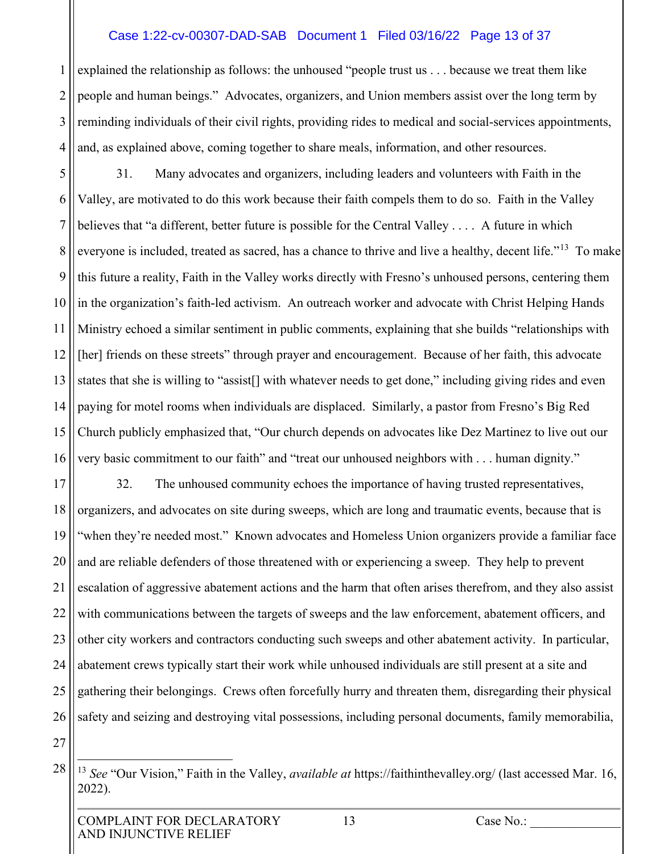#### Case 1:22-cv-00307-DAD-SAB Document 1 Filed 03/16/22 Page 13 of 37

1 2 3 4 explained the relationship as follows: the unhoused "people trust us . . . because we treat them like people and human beings." Advocates, organizers, and Union members assist over the long term by reminding individuals of their civil rights, providing rides to medical and social-services appointments, and, as explained above, coming together to share meals, information, and other resources.

5 6 7 8 9 10 11 12 13 14 15 16 31. Many advocates and organizers, including leaders and volunteers with Faith in the Valley, are motivated to do this work because their faith compels them to do so. Faith in the Valley believes that "a different, better future is possible for the Central Valley . . . . A future in which everyone is included, treated as sacred, has a chance to thrive and live a healthy, decent life."<sup>13</sup> To make this future a reality, Faith in the Valley works directly with Fresno's unhoused persons, centering them in the organization's faith-led activism. An outreach worker and advocate with Christ Helping Hands Ministry echoed a similar sentiment in public comments, explaining that she builds "relationships with [her] friends on these streets" through prayer and encouragement. Because of her faith, this advocate states that she is willing to "assist[] with whatever needs to get done," including giving rides and even paying for motel rooms when individuals are displaced. Similarly, a pastor from Fresno's Big Red Church publicly emphasized that, "Our church depends on advocates like Dez Martinez to live out our very basic commitment to our faith" and "treat our unhoused neighbors with . . . human dignity."

17 18 19 20 21 22 23 24 25 26 32. The unhoused community echoes the importance of having trusted representatives, organizers, and advocates on site during sweeps, which are long and traumatic events, because that is "when they're needed most." Known advocates and Homeless Union organizers provide a familiar face and are reliable defenders of those threatened with or experiencing a sweep. They help to prevent escalation of aggressive abatement actions and the harm that often arises therefrom, and they also assist with communications between the targets of sweeps and the law enforcement, abatement officers, and other city workers and contractors conducting such sweeps and other abatement activity. In particular, abatement crews typically start their work while unhoused individuals are still present at a site and gathering their belongings. Crews often forcefully hurry and threaten them, disregarding their physical safety and seizing and destroying vital possessions, including personal documents, family memorabilia,

<span id="page-12-0"></span><sup>28</sup> <sup>13</sup> *See* "Our Vision," Faith in the Valley, *available at* https://faithinthevalley.org/ (last accessed Mar. 16, 2022).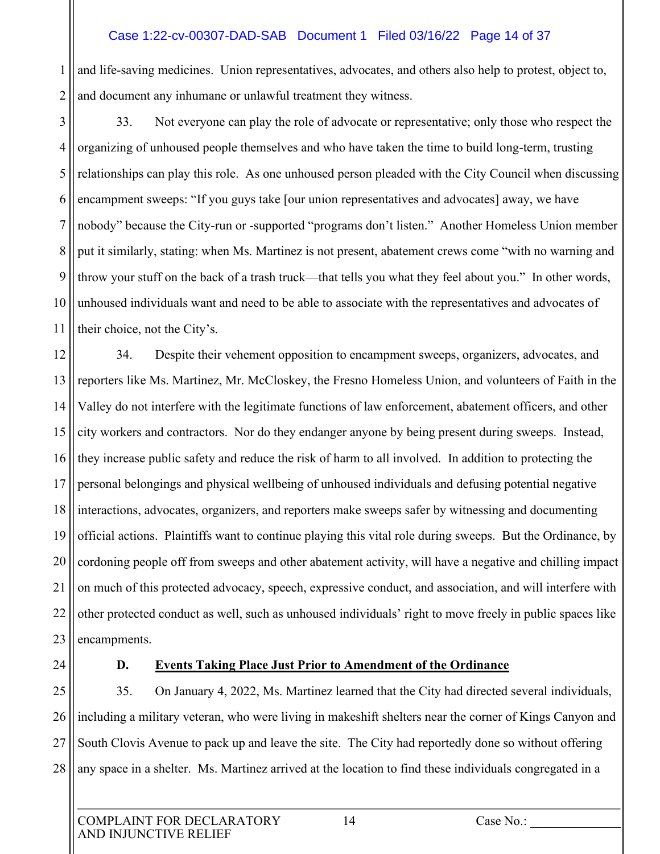#### Case 1:22-cv-00307-DAD-SAB Document 1 Filed 03/16/22 Page 14 of 37

1 2 and life-saving medicines. Union representatives, advocates, and others also help to protest, object to, and document any inhumane or unlawful treatment they witness.

3 4 5 6 7 8 9 10 11 33. Not everyone can play the role of advocate or representative; only those who respect the organizing of unhoused people themselves and who have taken the time to build long-term, trusting relationships can play this role. As one unhoused person pleaded with the City Council when discussing encampment sweeps: "If you guys take [our union representatives and advocates] away, we have nobody" because the City-run or -supported "programs don't listen." Another Homeless Union member put it similarly, stating: when Ms. Martinez is not present, abatement crews come "with no warning and throw your stuff on the back of a trash truck—that tells you what they feel about you." In other words, unhoused individuals want and need to be able to associate with the representatives and advocates of their choice, not the City's.

12 13 14 15 16 17 18 19 20 21 22 23 34. Despite their vehement opposition to encampment sweeps, organizers, advocates, and reporters like Ms. Martinez, Mr. McCloskey, the Fresno Homeless Union, and volunteers of Faith in the Valley do not interfere with the legitimate functions of law enforcement, abatement officers, and other city workers and contractors. Nor do they endanger anyone by being present during sweeps. Instead, they increase public safety and reduce the risk of harm to all involved. In addition to protecting the personal belongings and physical wellbeing of unhoused individuals and defusing potential negative interactions, advocates, organizers, and reporters make sweeps safer by witnessing and documenting official actions. Plaintiffs want to continue playing this vital role during sweeps. But the Ordinance, by cordoning people off from sweeps and other abatement activity, will have a negative and chilling impact on much of this protected advocacy, speech, expressive conduct, and association, and will interfere with other protected conduct as well, such as unhoused individuals' right to move freely in public spaces like encampments.

24

# **D. Events Taking Place Just Prior to Amendment of the Ordinance**

25 26 27 28 35. On January 4, 2022, Ms. Martinez learned that the City had directed several individuals, including a military veteran, who were living in makeshift shelters near the corner of Kings Canyon and South Clovis Avenue to pack up and leave the site. The City had reportedly done so without offering any space in a shelter. Ms. Martinez arrived at the location to find these individuals congregated in a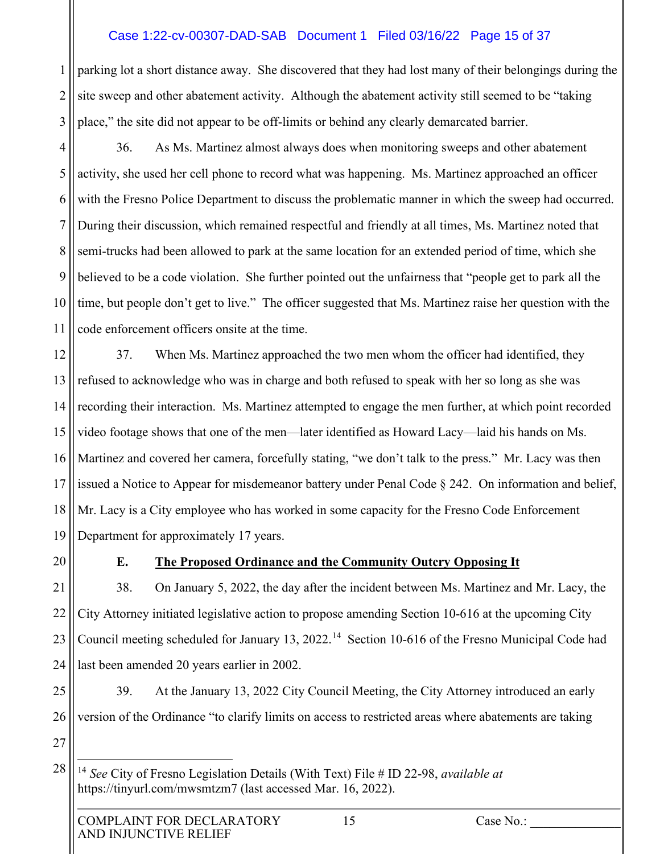#### Case 1:22-cv-00307-DAD-SAB Document 1 Filed 03/16/22 Page 15 of 37

1 2 3 parking lot a short distance away. She discovered that they had lost many of their belongings during the site sweep and other abatement activity. Although the abatement activity still seemed to be "taking place," the site did not appear to be off-limits or behind any clearly demarcated barrier.

4 5 6 7 8 9 10 11 36. As Ms. Martinez almost always does when monitoring sweeps and other abatement activity, she used her cell phone to record what was happening. Ms. Martinez approached an officer with the Fresno Police Department to discuss the problematic manner in which the sweep had occurred. During their discussion, which remained respectful and friendly at all times, Ms. Martinez noted that semi-trucks had been allowed to park at the same location for an extended period of time, which she believed to be a code violation. She further pointed out the unfairness that "people get to park all the time, but people don't get to live." The officer suggested that Ms. Martinez raise her question with the code enforcement officers onsite at the time.

12 13 14 15 16 17 18 19 37. When Ms. Martinez approached the two men whom the officer had identified, they refused to acknowledge who was in charge and both refused to speak with her so long as she was recording their interaction. Ms. Martinez attempted to engage the men further, at which point recorded video footage shows that one of the men—later identified as Howard Lacy—laid his hands on Ms. Martinez and covered her camera, forcefully stating, "we don't talk to the press." Mr. Lacy was then issued a Notice to Appear for misdemeanor battery under Penal Code § 242. On information and belief, Mr. Lacy is a City employee who has worked in some capacity for the Fresno Code Enforcement Department for approximately 17 years.

20

# **E. The Proposed Ordinance and the Community Outcry Opposing It**

21 22 23 24 38. On January 5, 2022, the day after the incident between Ms. Martinez and Mr. Lacy, the City Attorney initiated legislative action to propose amending Section 10-616 at the upcoming City Council meeting scheduled for January 13, 2022.<sup>14</sup> Section 10-616 of the Fresno Municipal Code had last been amended 20 years earlier in 2002.

25 26 39. At the January 13, 2022 City Council Meeting, the City Attorney introduced an early version of the Ordinance "to clarify limits on access to restricted areas where abatements are taking

<span id="page-14-0"></span><sup>14</sup> *See* City of Fresno Legislation Details (With Text) File # ID 22-98, *available at*  https://tinyurl.com/mwsmtzm7 (last accessed Mar. 16, 2022).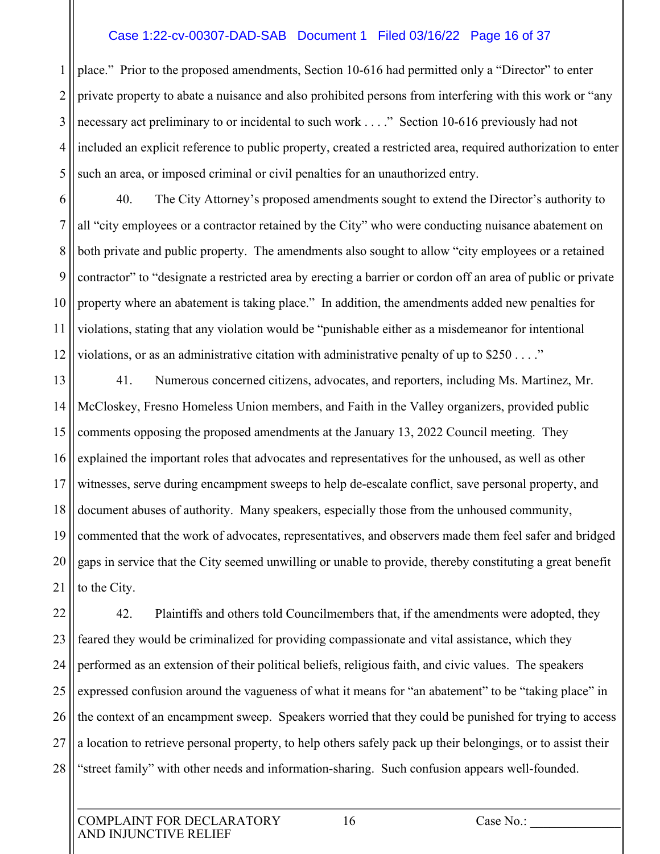#### Case 1:22-cv-00307-DAD-SAB Document 1 Filed 03/16/22 Page 16 of 37

1 2 3 4 5 place." Prior to the proposed amendments, Section 10-616 had permitted only a "Director" to enter private property to abate a nuisance and also prohibited persons from interfering with this work or "any necessary act preliminary to or incidental to such work . . . ." Section 10-616 previously had not included an explicit reference to public property, created a restricted area, required authorization to enter such an area, or imposed criminal or civil penalties for an unauthorized entry.

6 7 8 9 10 11 12 40. The City Attorney's proposed amendments sought to extend the Director's authority to all "city employees or a contractor retained by the City" who were conducting nuisance abatement on both private and public property. The amendments also sought to allow "city employees or a retained contractor" to "designate a restricted area by erecting a barrier or cordon off an area of public or private property where an abatement is taking place." In addition, the amendments added new penalties for violations, stating that any violation would be "punishable either as a misdemeanor for intentional violations, or as an administrative citation with administrative penalty of up to  $$250...$ "

13 14 15 16 17 18 19 20 21 41. Numerous concerned citizens, advocates, and reporters, including Ms. Martinez, Mr. McCloskey, Fresno Homeless Union members, and Faith in the Valley organizers, provided public comments opposing the proposed amendments at the January 13, 2022 Council meeting. They explained the important roles that advocates and representatives for the unhoused, as well as other witnesses, serve during encampment sweeps to help de-escalate conflict, save personal property, and document abuses of authority. Many speakers, especially those from the unhoused community, commented that the work of advocates, representatives, and observers made them feel safer and bridged gaps in service that the City seemed unwilling or unable to provide, thereby constituting a great benefit to the City.

22 23 24 25 26 27 28 42. Plaintiffs and others told Councilmembers that, if the amendments were adopted, they feared they would be criminalized for providing compassionate and vital assistance, which they performed as an extension of their political beliefs, religious faith, and civic values. The speakers expressed confusion around the vagueness of what it means for "an abatement" to be "taking place" in the context of an encampment sweep. Speakers worried that they could be punished for trying to access a location to retrieve personal property, to help others safely pack up their belongings, or to assist their "street family" with other needs and information-sharing. Such confusion appears well-founded.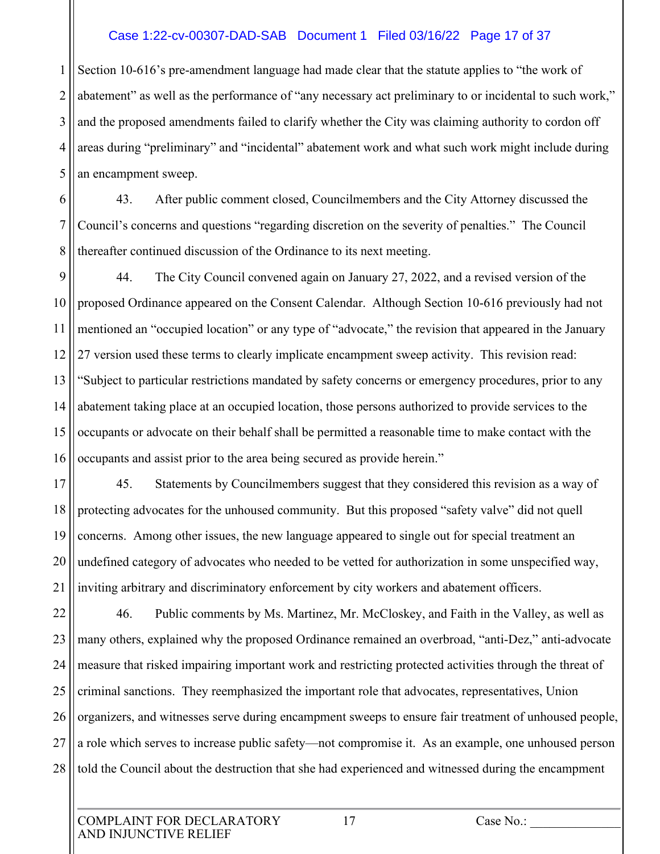#### Case 1:22-cv-00307-DAD-SAB Document 1 Filed 03/16/22 Page 17 of 37

1 2 3 4 5 Section 10-616's pre-amendment language had made clear that the statute applies to "the work of abatement" as well as the performance of "any necessary act preliminary to or incidental to such work," and the proposed amendments failed to clarify whether the City was claiming authority to cordon off areas during "preliminary" and "incidental" abatement work and what such work might include during an encampment sweep.

6 7 8 43. After public comment closed, Councilmembers and the City Attorney discussed the Council's concerns and questions "regarding discretion on the severity of penalties." The Council thereafter continued discussion of the Ordinance to its next meeting.

9 10 11 12 13 14 15 16 44. The City Council convened again on January 27, 2022, and a revised version of the proposed Ordinance appeared on the Consent Calendar. Although Section 10-616 previously had not mentioned an "occupied location" or any type of "advocate," the revision that appeared in the January 27 version used these terms to clearly implicate encampment sweep activity. This revision read: "Subject to particular restrictions mandated by safety concerns or emergency procedures, prior to any abatement taking place at an occupied location, those persons authorized to provide services to the occupants or advocate on their behalf shall be permitted a reasonable time to make contact with the occupants and assist prior to the area being secured as provide herein."

17 18 19 20 21 45. Statements by Councilmembers suggest that they considered this revision as a way of protecting advocates for the unhoused community. But this proposed "safety valve" did not quell concerns. Among other issues, the new language appeared to single out for special treatment an undefined category of advocates who needed to be vetted for authorization in some unspecified way, inviting arbitrary and discriminatory enforcement by city workers and abatement officers.

22 23 24 25 26 27 28 46. Public comments by Ms. Martinez, Mr. McCloskey, and Faith in the Valley, as well as many others, explained why the proposed Ordinance remained an overbroad, "anti-Dez," anti-advocate measure that risked impairing important work and restricting protected activities through the threat of criminal sanctions. They reemphasized the important role that advocates, representatives, Union organizers, and witnesses serve during encampment sweeps to ensure fair treatment of unhoused people, a role which serves to increase public safety—not compromise it. As an example, one unhoused person told the Council about the destruction that she had experienced and witnessed during the encampment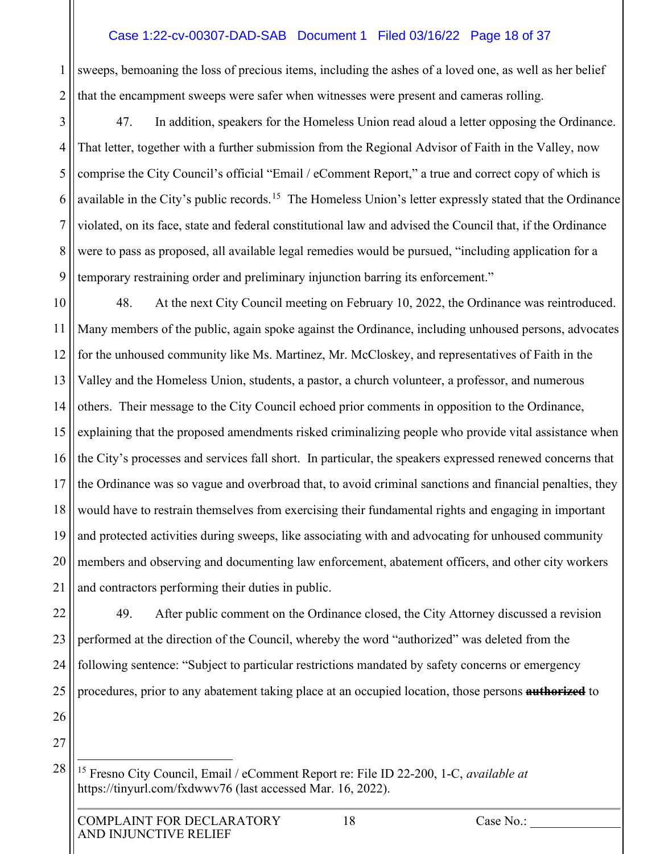## Case 1:22-cv-00307-DAD-SAB Document 1 Filed 03/16/22 Page 18 of 37

1 2 sweeps, bemoaning the loss of precious items, including the ashes of a loved one, as well as her belief that the encampment sweeps were safer when witnesses were present and cameras rolling.

3 4 5 6 7 8 9 47. In addition, speakers for the Homeless Union read aloud a letter opposing the Ordinance. That letter, together with a further submission from the Regional Advisor of Faith in the Valley, now comprise the City Council's official "Email / eComment Report," a true and correct copy of which is available in the City's public records.<sup>15</sup> The Homeless Union's letter expressly stated that the Ordinance violated, on its face, state and federal constitutional law and advised the Council that, if the Ordinance were to pass as proposed, all available legal remedies would be pursued, "including application for a temporary restraining order and preliminary injunction barring its enforcement."

10 11 12 13 14 15 16 17 18 19 20 21 48. At the next City Council meeting on February 10, 2022, the Ordinance was reintroduced. Many members of the public, again spoke against the Ordinance, including unhoused persons, advocates for the unhoused community like Ms. Martinez, Mr. McCloskey, and representatives of Faith in the Valley and the Homeless Union, students, a pastor, a church volunteer, a professor, and numerous others. Their message to the City Council echoed prior comments in opposition to the Ordinance, explaining that the proposed amendments risked criminalizing people who provide vital assistance when the City's processes and services fall short. In particular, the speakers expressed renewed concerns that the Ordinance was so vague and overbroad that, to avoid criminal sanctions and financial penalties, they would have to restrain themselves from exercising their fundamental rights and engaging in important and protected activities during sweeps, like associating with and advocating for unhoused community members and observing and documenting law enforcement, abatement officers, and other city workers and contractors performing their duties in public.

22 23 24 25 49. After public comment on the Ordinance closed, the City Attorney discussed a revision performed at the direction of the Council, whereby the word "authorized" was deleted from the following sentence: "Subject to particular restrictions mandated by safety concerns or emergency procedures, prior to any abatement taking place at an occupied location, those persons **authorized** to

26 27

<span id="page-17-0"></span><sup>15</sup> Fresno City Council, Email / eComment Report re: File ID 22-200, 1-C, *available at* https://tinyurl.com/fxdwwv76 (last accessed Mar. 16, 2022).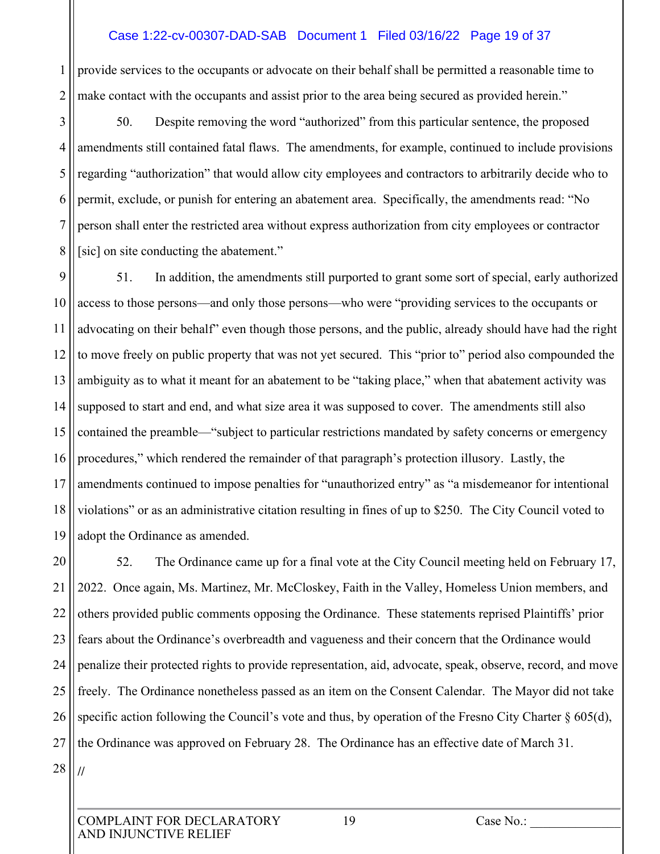#### Case 1:22-cv-00307-DAD-SAB Document 1 Filed 03/16/22 Page 19 of 37

1 2 provide services to the occupants or advocate on their behalf shall be permitted a reasonable time to make contact with the occupants and assist prior to the area being secured as provided herein."

3 4 5 6 7 8 50. Despite removing the word "authorized" from this particular sentence, the proposed amendments still contained fatal flaws. The amendments, for example, continued to include provisions regarding "authorization" that would allow city employees and contractors to arbitrarily decide who to permit, exclude, or punish for entering an abatement area. Specifically, the amendments read: "No person shall enter the restricted area without express authorization from city employees or contractor [sic] on site conducting the abatement."

9 10 11 12 13 14 15 16 17 18 19 51. In addition, the amendments still purported to grant some sort of special, early authorized access to those persons—and only those persons—who were "providing services to the occupants or advocating on their behalf" even though those persons, and the public, already should have had the right to move freely on public property that was not yet secured. This "prior to" period also compounded the ambiguity as to what it meant for an abatement to be "taking place," when that abatement activity was supposed to start and end, and what size area it was supposed to cover. The amendments still also contained the preamble—"subject to particular restrictions mandated by safety concerns or emergency procedures," which rendered the remainder of that paragraph's protection illusory. Lastly, the amendments continued to impose penalties for "unauthorized entry" as "a misdemeanor for intentional violations" or as an administrative citation resulting in fines of up to \$250. The City Council voted to adopt the Ordinance as amended.

20 21 22 23 24 25 26 27 28 52. The Ordinance came up for a final vote at the City Council meeting held on February 17, 2022. Once again, Ms. Martinez, Mr. McCloskey, Faith in the Valley, Homeless Union members, and others provided public comments opposing the Ordinance. These statements reprised Plaintiffs' prior fears about the Ordinance's overbreadth and vagueness and their concern that the Ordinance would penalize their protected rights to provide representation, aid, advocate, speak, observe, record, and move freely. The Ordinance nonetheless passed as an item on the Consent Calendar. The Mayor did not take specific action following the Council's vote and thus, by operation of the Fresno City Charter § 605(d), the Ordinance was approved on February 28. The Ordinance has an effective date of March 31. **//**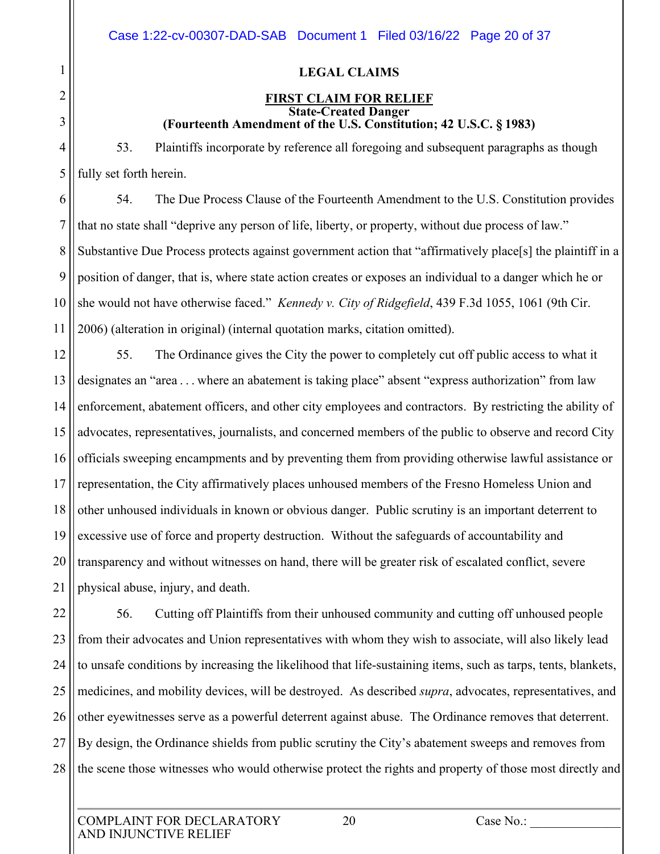|                       |     | Case 1:22- |  |
|-----------------------|-----|------------|--|
|                       |     |            |  |
|                       |     |            |  |
|                       |     | <b>F</b>   |  |
|                       | 53. | Plai       |  |
| fully set forth here  |     |            |  |
|                       | 54. | The        |  |
| that no state shall ' |     |            |  |
| Substantive Due P     |     |            |  |
| position of danger,   |     |            |  |
| she would not have    |     |            |  |
| 2006) (alteration in  |     |            |  |
|                       |     | 55. The    |  |
| designates an "area   |     |            |  |
| enforcement, abate    |     |            |  |
| advocates, represer   |     |            |  |
| officials sweeping    |     |            |  |
| representation, the   |     |            |  |
| other unhoused ind    |     |            |  |
| excessive use of fc   |     |            |  |
| transparency and v    |     |            |  |
|                       |     |            |  |

1

2

3

4

5

# **LEGAL CLAIMS**

#### **FIRST CLAIM FOR RELIEF State-Created Danger (Fourteenth Amendment of the U.S. Constitution; 42 U.S.C. § 1983)**

intiffs incorporate by reference all foregoing and subsequent paragraphs as though  $\operatorname{in}$ .

6 7 8 9 10 11 54. The Due Process Clause of the Fourteenth Amendment to the U.S. Constitution provides "deprive any person of life, liberty, or property, without due process of law." rocess protects against government action that "affirmatively place[s] the plaintiff in a that is, where state action creates or exposes an individual to a danger which he or e otherwise faced." *Kennedy v. City of Ridgefield*, 439 F.3d 1055, 1061 (9th Cir. n original) (internal quotation marks, citation omitted).

12 13 14 15 16 17 18 19 20 21 E Ordinance gives the City the power to completely cut off public access to what it a... where an abatement is taking place" absent "express authorization" from law enforcement officers, and other city employees and contractors. By restricting the ability of ntatives, journalists, and concerned members of the public to observe and record City encampments and by preventing them from providing otherwise lawful assistance or City affirmatively places unhoused members of the Fresno Homeless Union and dividuals in known or obvious danger. Public scrutiny is an important deterrent to bree and property destruction. Without the safeguards of accountability and without witnesses on hand, there will be greater risk of escalated conflict, severe physical abuse, injury, and death.

22 23 24 25 26 27 28 56. Cutting off Plaintiffs from their unhoused community and cutting off unhoused people from their advocates and Union representatives with whom they wish to associate, will also likely lead to unsafe conditions by increasing the likelihood that life-sustaining items, such as tarps, tents, blankets, medicines, and mobility devices, will be destroyed. As described *supra*, advocates, representatives, and other eyewitnesses serve as a powerful deterrent against abuse. The Ordinance removes that deterrent. By design, the Ordinance shields from public scrutiny the City's abatement sweeps and removes from the scene those witnesses who would otherwise protect the rights and property of those most directly and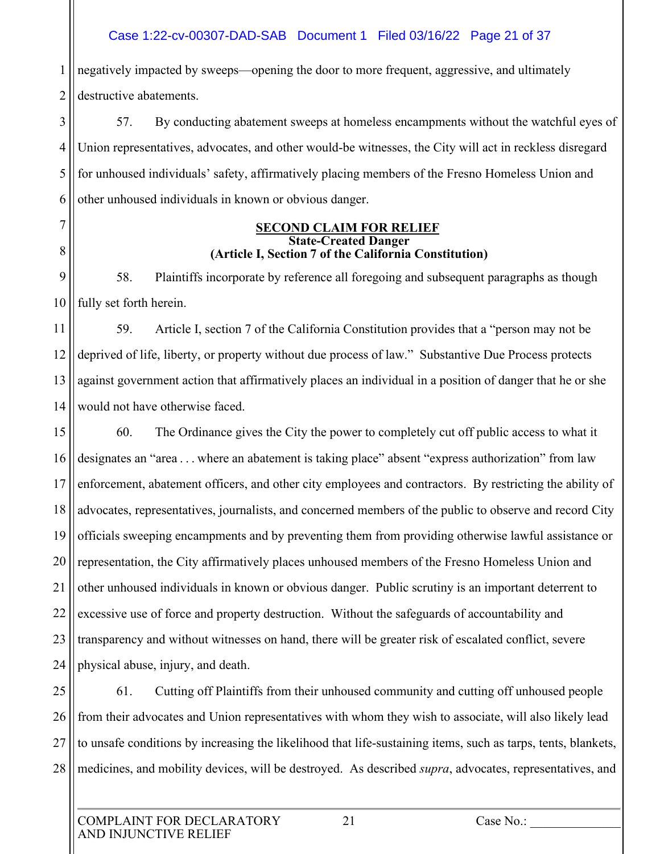## Case 1:22-cv-00307-DAD-SAB Document 1 Filed 03/16/22 Page 21 of 37

1 2 negatively impacted by sweeps—opening the door to more frequent, aggressive, and ultimately destructive abatements.

3 4 5 6 57. By conducting abatement sweeps at homeless encampments without the watchful eyes of Union representatives, advocates, and other would-be witnesses, the City will act in reckless disregard for unhoused individuals' safety, affirmatively placing members of the Fresno Homeless Union and other unhoused individuals in known or obvious danger.

#### **SECOND CLAIM FOR RELIEF State-Created Danger (Article I, Section 7 of the California Constitution)**

9 10 58. Plaintiffs incorporate by reference all foregoing and subsequent paragraphs as though fully set forth herein.

11 12 13 14 59. Article I, section 7 of the California Constitution provides that a "person may not be deprived of life, liberty, or property without due process of law." Substantive Due Process protects against government action that affirmatively places an individual in a position of danger that he or she would not have otherwise faced.

15 16 17 18 19 20 21 22 23 24 60. The Ordinance gives the City the power to completely cut off public access to what it designates an "area . . . where an abatement is taking place" absent "express authorization" from law enforcement, abatement officers, and other city employees and contractors. By restricting the ability of advocates, representatives, journalists, and concerned members of the public to observe and record City officials sweeping encampments and by preventing them from providing otherwise lawful assistance or representation, the City affirmatively places unhoused members of the Fresno Homeless Union and other unhoused individuals in known or obvious danger. Public scrutiny is an important deterrent to excessive use of force and property destruction. Without the safeguards of accountability and transparency and without witnesses on hand, there will be greater risk of escalated conflict, severe physical abuse, injury, and death.

25 26 27 28 61. Cutting off Plaintiffs from their unhoused community and cutting off unhoused people from their advocates and Union representatives with whom they wish to associate, will also likely lead to unsafe conditions by increasing the likelihood that life-sustaining items, such as tarps, tents, blankets, medicines, and mobility devices, will be destroyed. As described *supra*, advocates, representatives, and

7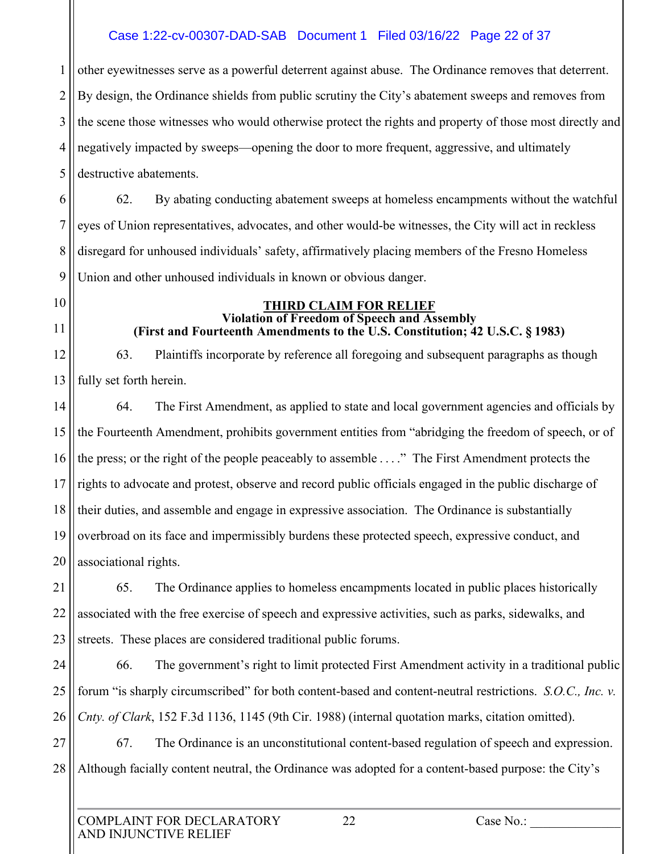# Case 1:22-cv-00307-DAD-SAB Document 1 Filed 03/16/22 Page 22 of 37

1 2 3 4 5 other eyewitnesses serve as a powerful deterrent against abuse. The Ordinance removes that deterrent. By design, the Ordinance shields from public scrutiny the City's abatement sweeps and removes from the scene those witnesses who would otherwise protect the rights and property of those most directly and negatively impacted by sweeps—opening the door to more frequent, aggressive, and ultimately destructive abatements.

6 7 8 9 62. By abating conducting abatement sweeps at homeless encampments without the watchful eyes of Union representatives, advocates, and other would-be witnesses, the City will act in reckless disregard for unhoused individuals' safety, affirmatively placing members of the Fresno Homeless Union and other unhoused individuals in known or obvious danger.

- 10
- 11

#### **THIRD CLAIM FOR RELIEF Violation of Freedom of Speech and Assembly (First and Fourteenth Amendments to the U.S. Constitution; 42 U.S.C. § 1983)**

12 13 63. Plaintiffs incorporate by reference all foregoing and subsequent paragraphs as though fully set forth herein.

14 15 16 17 18 19 20 64. The First Amendment, as applied to state and local government agencies and officials by the Fourteenth Amendment, prohibits government entities from "abridging the freedom of speech, or of the press; or the right of the people peaceably to assemble . . . ." The First Amendment protects the rights to advocate and protest, observe and record public officials engaged in the public discharge of their duties, and assemble and engage in expressive association. The Ordinance is substantially overbroad on its face and impermissibly burdens these protected speech, expressive conduct, and associational rights.

21 22 23 65. The Ordinance applies to homeless encampments located in public places historically associated with the free exercise of speech and expressive activities, such as parks, sidewalks, and streets. These places are considered traditional public forums.

24 25 26 66. The government's right to limit protected First Amendment activity in a traditional public forum "is sharply circumscribed" for both content-based and content-neutral restrictions. *S.O.C., Inc. v. Cnty. of Clark*, 152 F.3d 1136, 1145 (9th Cir. 1988) (internal quotation marks, citation omitted).

27 28 67. The Ordinance is an unconstitutional content-based regulation of speech and expression. Although facially content neutral, the Ordinance was adopted for a content-based purpose: the City's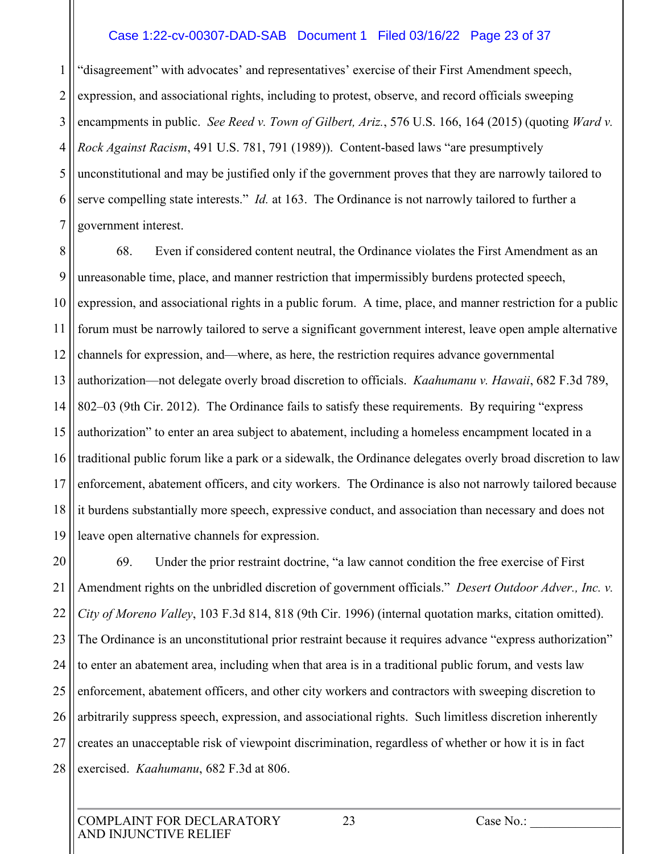#### Case 1:22-cv-00307-DAD-SAB Document 1 Filed 03/16/22 Page 23 of 37

1 2 3 4 5 6 7 "disagreement" with advocates' and representatives' exercise of their First Amendment speech, expression, and associational rights, including to protest, observe, and record officials sweeping encampments in public. *See Reed v. Town of Gilbert, Ariz.*, 576 U.S. 166, 164 (2015) (quoting *Ward v. Rock Against Racism*, 491 U.S. 781, 791 (1989)). Content-based laws "are presumptively unconstitutional and may be justified only if the government proves that they are narrowly tailored to serve compelling state interests." *Id.* at 163. The Ordinance is not narrowly tailored to further a government interest.

8 9 10 11 12 13 14 15 16 17 18 19 68. Even if considered content neutral, the Ordinance violates the First Amendment as an unreasonable time, place, and manner restriction that impermissibly burdens protected speech, expression, and associational rights in a public forum. A time, place, and manner restriction for a public forum must be narrowly tailored to serve a significant government interest, leave open ample alternative channels for expression, and—where, as here, the restriction requires advance governmental authorization—not delegate overly broad discretion to officials. *Kaahumanu v. Hawaii*, 682 F.3d 789, 802–03 (9th Cir. 2012). The Ordinance fails to satisfy these requirements. By requiring "express authorization" to enter an area subject to abatement, including a homeless encampment located in a traditional public forum like a park or a sidewalk, the Ordinance delegates overly broad discretion to law enforcement, abatement officers, and city workers. The Ordinance is also not narrowly tailored because it burdens substantially more speech, expressive conduct, and association than necessary and does not leave open alternative channels for expression.

20 21 22 23 24 25 26 27 28 69. Under the prior restraint doctrine, "a law cannot condition the free exercise of First Amendment rights on the unbridled discretion of government officials." *Desert Outdoor Adver., Inc. v. City of Moreno Valley*, 103 F.3d 814, 818 (9th Cir. 1996) (internal quotation marks, citation omitted). The Ordinance is an unconstitutional prior restraint because it requires advance "express authorization" to enter an abatement area, including when that area is in a traditional public forum, and vests law enforcement, abatement officers, and other city workers and contractors with sweeping discretion to arbitrarily suppress speech, expression, and associational rights. Such limitless discretion inherently creates an unacceptable risk of viewpoint discrimination, regardless of whether or how it is in fact exercised. *Kaahumanu*, 682 F.3d at 806.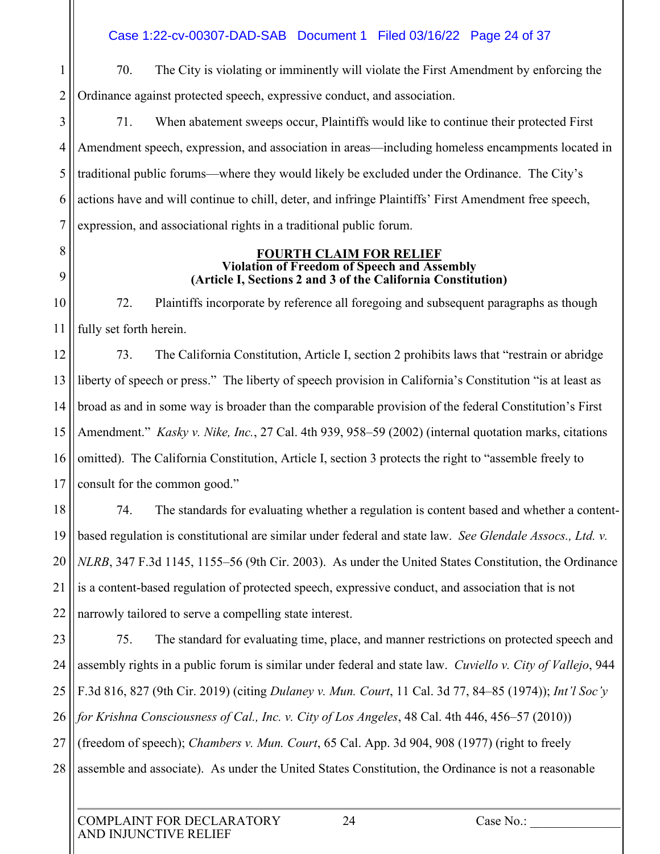Case 1:22-cv-00307-DAD-SAB Document 1 Filed 03/16/22 Page 24 of 37

1 2

8

9

70. The City is violating or imminently will violate the First Amendment by enforcing the Ordinance against protected speech, expressive conduct, and association.

3 4 5 6 7 71. When abatement sweeps occur, Plaintiffs would like to continue their protected First Amendment speech, expression, and association in areas—including homeless encampments located in traditional public forums—where they would likely be excluded under the Ordinance. The City's actions have and will continue to chill, deter, and infringe Plaintiffs' First Amendment free speech, expression, and associational rights in a traditional public forum.

#### **FOURTH CLAIM FOR RELIEF Violation of Freedom of Speech and Assembly (Article I, Sections 2 and 3 of the California Constitution)**

10 11 72. Plaintiffs incorporate by reference all foregoing and subsequent paragraphs as though fully set forth herein.

12 13 14 15 16 17 73. The California Constitution, Article I, section 2 prohibits laws that "restrain or abridge liberty of speech or press." The liberty of speech provision in California's Constitution "is at least as broad as and in some way is broader than the comparable provision of the federal Constitution's First Amendment." *Kasky v. Nike, Inc.*, 27 Cal. 4th 939, 958–59 (2002) (internal quotation marks, citations omitted). The California Constitution, Article I, section 3 protects the right to "assemble freely to consult for the common good."

18 19 20 21 22 74. The standards for evaluating whether a regulation is content based and whether a contentbased regulation is constitutional are similar under federal and state law. *See Glendale Assocs., Ltd. v. NLRB*, 347 F.3d 1145, 1155–56 (9th Cir. 2003). As under the United States Constitution, the Ordinance is a content-based regulation of protected speech, expressive conduct, and association that is not narrowly tailored to serve a compelling state interest.

23 24 25 26 27 28 75. The standard for evaluating time, place, and manner restrictions on protected speech and assembly rights in a public forum is similar under federal and state law. *Cuviello v. City of Vallejo*, 944 F.3d 816, 827 (9th Cir. 2019) (citing *Dulaney v. Mun. Court*, 11 Cal. 3d 77, 84–85 (1974)); *Int'l Soc'y for Krishna Consciousness of Cal., Inc. v. City of Los Angeles*, 48 Cal. 4th 446, 456–57 (2010)) (freedom of speech); *Chambers v. Mun. Court*, 65 Cal. App. 3d 904, 908 (1977) (right to freely assemble and associate). As under the United States Constitution, the Ordinance is not a reasonable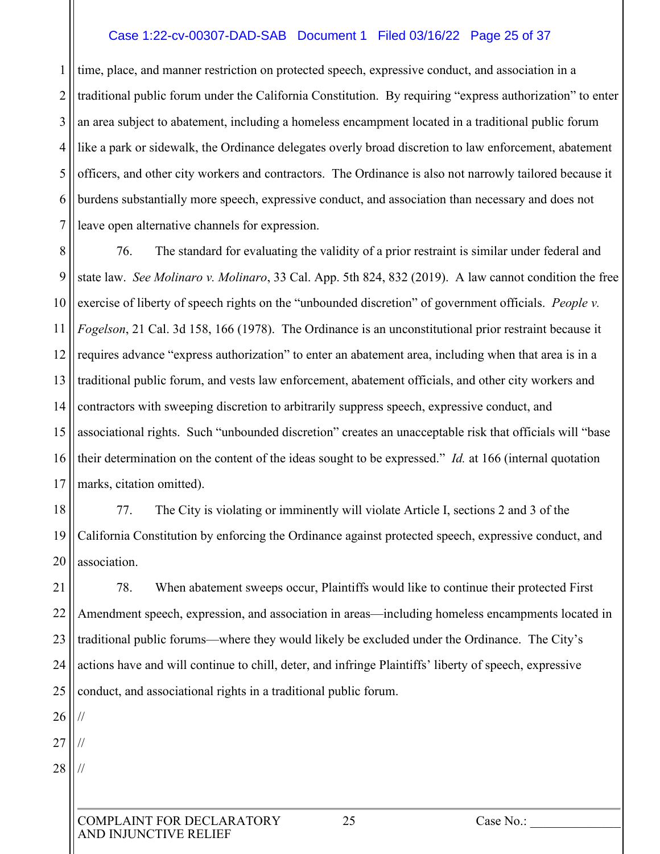#### Case 1:22-cv-00307-DAD-SAB Document 1 Filed 03/16/22 Page 25 of 37

1 2 3 4 5 6 7 time, place, and manner restriction on protected speech, expressive conduct, and association in a traditional public forum under the California Constitution. By requiring "express authorization" to enter an area subject to abatement, including a homeless encampment located in a traditional public forum like a park or sidewalk, the Ordinance delegates overly broad discretion to law enforcement, abatement officers, and other city workers and contractors. The Ordinance is also not narrowly tailored because it burdens substantially more speech, expressive conduct, and association than necessary and does not leave open alternative channels for expression.

8 9 10 11 12 13 14 15 16 17 76. The standard for evaluating the validity of a prior restraint is similar under federal and state law. *See Molinaro v. Molinaro*, 33 Cal. App. 5th 824, 832 (2019). A law cannot condition the free exercise of liberty of speech rights on the "unbounded discretion" of government officials. *People v. Fogelson*, 21 Cal. 3d 158, 166 (1978). The Ordinance is an unconstitutional prior restraint because it requires advance "express authorization" to enter an abatement area, including when that area is in a traditional public forum, and vests law enforcement, abatement officials, and other city workers and contractors with sweeping discretion to arbitrarily suppress speech, expressive conduct, and associational rights. Such "unbounded discretion" creates an unacceptable risk that officials will "base their determination on the content of the ideas sought to be expressed." *Id.* at 166 (internal quotation marks, citation omitted).

18 19 20 77. The City is violating or imminently will violate Article I, sections 2 and 3 of the California Constitution by enforcing the Ordinance against protected speech, expressive conduct, and association.

21 22 23 24 25 78. When abatement sweeps occur, Plaintiffs would like to continue their protected First Amendment speech, expression, and association in areas—including homeless encampments located in traditional public forums—where they would likely be excluded under the Ordinance. The City's actions have and will continue to chill, deter, and infringe Plaintiffs' liberty of speech, expressive conduct, and associational rights in a traditional public forum.

26

//

//

27

28 //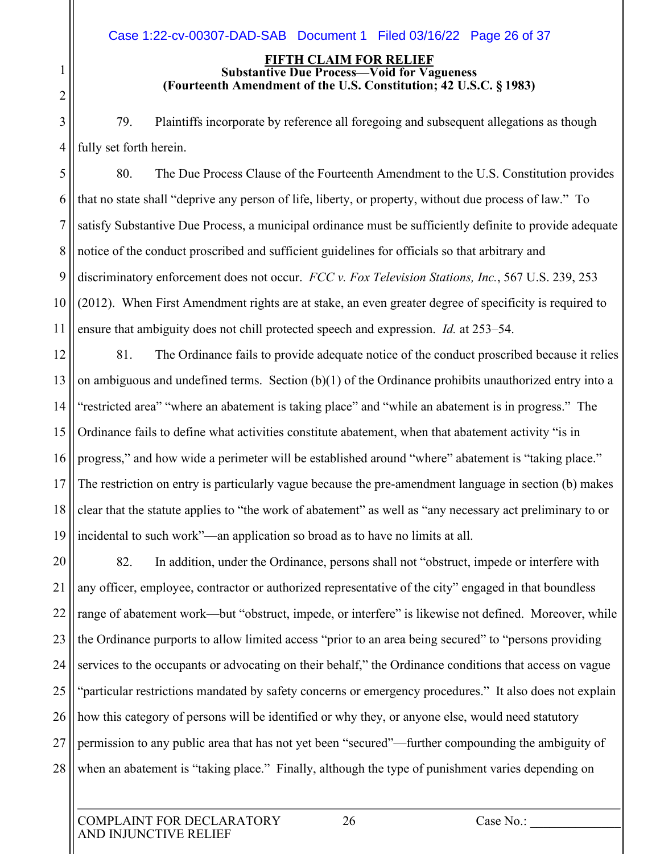#### **FIFTH CLAIM FOR RELIEF Substantive Due Process—Void for Vagueness (Fourteenth Amendment of the U.S. Constitution; 42 U.S.C. § 1983)**

3 4 79. Plaintiffs incorporate by reference all foregoing and subsequent allegations as though fully set forth herein.

5 6 7 8 9 10 11 80. The Due Process Clause of the Fourteenth Amendment to the U.S. Constitution provides that no state shall "deprive any person of life, liberty, or property, without due process of law." To satisfy Substantive Due Process, a municipal ordinance must be sufficiently definite to provide adequate notice of the conduct proscribed and sufficient guidelines for officials so that arbitrary and discriminatory enforcement does not occur. *FCC v. Fox Television Stations, Inc.*, 567 U.S. 239, 253 (2012). When First Amendment rights are at stake, an even greater degree of specificity is required to ensure that ambiguity does not chill protected speech and expression. *Id.* at 253–54.

12 13 14 15 16 17 18 19 81. The Ordinance fails to provide adequate notice of the conduct proscribed because it relies on ambiguous and undefined terms. Section  $(b)(1)$  of the Ordinance prohibits unauthorized entry into a "restricted area" "where an abatement is taking place" and "while an abatement is in progress." The Ordinance fails to define what activities constitute abatement, when that abatement activity "is in progress," and how wide a perimeter will be established around "where" abatement is "taking place." The restriction on entry is particularly vague because the pre-amendment language in section (b) makes clear that the statute applies to "the work of abatement" as well as "any necessary act preliminary to or incidental to such work"—an application so broad as to have no limits at all.

20 21 22 23 24 25 26 27 28 82. In addition, under the Ordinance, persons shall not "obstruct, impede or interfere with any officer, employee, contractor or authorized representative of the city" engaged in that boundless range of abatement work—but "obstruct, impede, or interfere" is likewise not defined. Moreover, while the Ordinance purports to allow limited access "prior to an area being secured" to "persons providing services to the occupants or advocating on their behalf," the Ordinance conditions that access on vague "particular restrictions mandated by safety concerns or emergency procedures." It also does not explain how this category of persons will be identified or why they, or anyone else, would need statutory permission to any public area that has not yet been "secured"—further compounding the ambiguity of when an abatement is "taking place." Finally, although the type of punishment varies depending on

1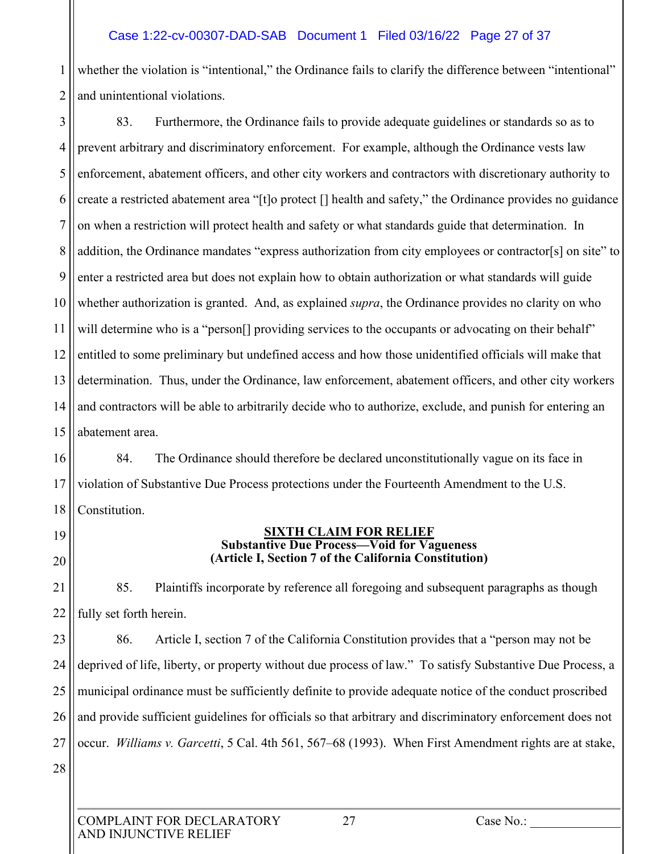# Case 1:22-cv-00307-DAD-SAB Document 1 Filed 03/16/22 Page 27 of 37

1 2 whether the violation is "intentional," the Ordinance fails to clarify the difference between "intentional" and unintentional violations.

3 4 5 6 7 8 9 10 11 12 13 14 15 83. Furthermore, the Ordinance fails to provide adequate guidelines or standards so as to prevent arbitrary and discriminatory enforcement. For example, although the Ordinance vests law enforcement, abatement officers, and other city workers and contractors with discretionary authority to create a restricted abatement area "[t]o protect [] health and safety," the Ordinance provides no guidance on when a restriction will protect health and safety or what standards guide that determination. In addition, the Ordinance mandates "express authorization from city employees or contractor[s] on site" to enter a restricted area but does not explain how to obtain authorization or what standards will guide whether authorization is granted. And, as explained *supra*, the Ordinance provides no clarity on who will determine who is a "person<sup>[]</sup> providing services to the occupants or advocating on their behalf" entitled to some preliminary but undefined access and how those unidentified officials will make that determination. Thus, under the Ordinance, law enforcement, abatement officers, and other city workers and contractors will be able to arbitrarily decide who to authorize, exclude, and punish for entering an abatement area.

16 17 18 84. The Ordinance should therefore be declared unconstitutionally vague on its face in violation of Substantive Due Process protections under the Fourteenth Amendment to the U.S. Constitution.

19 20 21

22

#### **SIXTH CLAIM FOR RELIEF Substantive Due Process—Void for Vagueness (Article I, Section 7 of the California Constitution)**

85. Plaintiffs incorporate by reference all foregoing and subsequent paragraphs as though fully set forth herein.

23 24 25 26 27 28 86. Article I, section 7 of the California Constitution provides that a "person may not be deprived of life, liberty, or property without due process of law." To satisfy Substantive Due Process, a municipal ordinance must be sufficiently definite to provide adequate notice of the conduct proscribed and provide sufficient guidelines for officials so that arbitrary and discriminatory enforcement does not occur. *Williams v. Garcetti*, 5 Cal. 4th 561, 567–68 (1993). When First Amendment rights are at stake,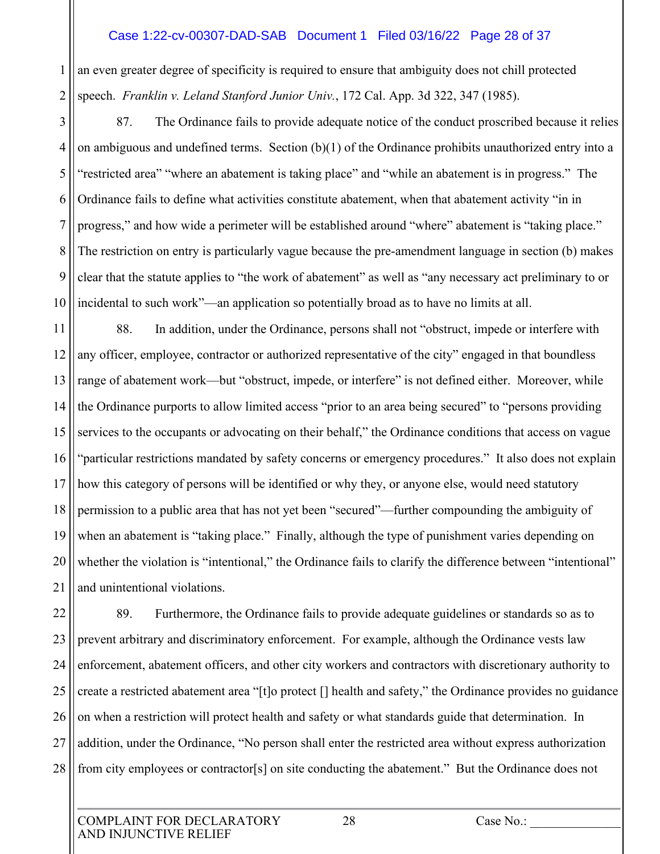#### Case 1:22-cv-00307-DAD-SAB Document 1 Filed 03/16/22 Page 28 of 37

1 2 an even greater degree of specificity is required to ensure that ambiguity does not chill protected speech. *Franklin v. Leland Stanford Junior Univ.*, 172 Cal. App. 3d 322, 347 (1985).

3 4 5 6 7 8 9 10 87. The Ordinance fails to provide adequate notice of the conduct proscribed because it relies on ambiguous and undefined terms. Section (b)(1) of the Ordinance prohibits unauthorized entry into a "restricted area" "where an abatement is taking place" and "while an abatement is in progress." The Ordinance fails to define what activities constitute abatement, when that abatement activity "in in progress," and how wide a perimeter will be established around "where" abatement is "taking place." The restriction on entry is particularly vague because the pre-amendment language in section (b) makes clear that the statute applies to "the work of abatement" as well as "any necessary act preliminary to or incidental to such work"—an application so potentially broad as to have no limits at all.

11 12 13 14 15 16 17 18 19 20 21 88. In addition, under the Ordinance, persons shall not "obstruct, impede or interfere with any officer, employee, contractor or authorized representative of the city" engaged in that boundless range of abatement work—but "obstruct, impede, or interfere" is not defined either. Moreover, while the Ordinance purports to allow limited access "prior to an area being secured" to "persons providing services to the occupants or advocating on their behalf," the Ordinance conditions that access on vague "particular restrictions mandated by safety concerns or emergency procedures." It also does not explain how this category of persons will be identified or why they, or anyone else, would need statutory permission to a public area that has not yet been "secured"—further compounding the ambiguity of when an abatement is "taking place." Finally, although the type of punishment varies depending on whether the violation is "intentional," the Ordinance fails to clarify the difference between "intentional" and unintentional violations.

22 23 24 25 26 27 28 89. Furthermore, the Ordinance fails to provide adequate guidelines or standards so as to prevent arbitrary and discriminatory enforcement. For example, although the Ordinance vests law enforcement, abatement officers, and other city workers and contractors with discretionary authority to create a restricted abatement area "[t]o protect [] health and safety," the Ordinance provides no guidance on when a restriction will protect health and safety or what standards guide that determination. In addition, under the Ordinance, "No person shall enter the restricted area without express authorization from city employees or contractor[s] on site conducting the abatement." But the Ordinance does not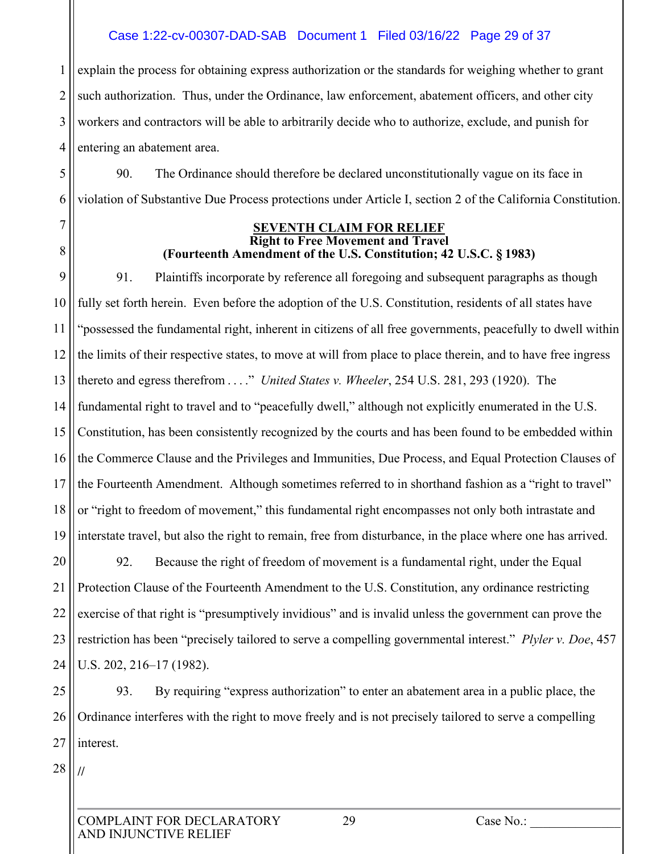#### Case 1:22-cv-00307-DAD-SAB Document 1 Filed 03/16/22 Page 29 of 37

1 2 3 4 explain the process for obtaining express authorization or the standards for weighing whether to grant such authorization. Thus, under the Ordinance, law enforcement, abatement officers, and other city workers and contractors will be able to arbitrarily decide who to authorize, exclude, and punish for entering an abatement area.

90. The Ordinance should therefore be declared unconstitutionally vague on its face in violation of Substantive Due Process protections under Article I, section 2 of the California Constitution.

> **SEVENTH CLAIM FOR RELIEF Right to Free Movement and Travel (Fourteenth Amendment of the U.S. Constitution; 42 U.S.C. § 1983)**

9 10 11 12 13 14 15 16 17 18 19 91. Plaintiffs incorporate by reference all foregoing and subsequent paragraphs as though fully set forth herein. Even before the adoption of the U.S. Constitution, residents of all states have "possessed the fundamental right, inherent in citizens of all free governments, peacefully to dwell within the limits of their respective states, to move at will from place to place therein, and to have free ingress thereto and egress therefrom . . . ." *United States v. Wheeler*, 254 U.S. 281, 293 (1920). The fundamental right to travel and to "peacefully dwell," although not explicitly enumerated in the U.S. Constitution, has been consistently recognized by the courts and has been found to be embedded within the Commerce Clause and the Privileges and Immunities, Due Process, and Equal Protection Clauses of the Fourteenth Amendment. Although sometimes referred to in shorthand fashion as a "right to travel" or "right to freedom of movement," this fundamental right encompasses not only both intrastate and interstate travel, but also the right to remain, free from disturbance, in the place where one has arrived.

20 21 22 23 24 92. Because the right of freedom of movement is a fundamental right, under the Equal Protection Clause of the Fourteenth Amendment to the U.S. Constitution, any ordinance restricting exercise of that right is "presumptively invidious" and is invalid unless the government can prove the restriction has been "precisely tailored to serve a compelling governmental interest." *Plyler v. Doe*, 457 U.S. 202, 216–17 (1982).

25 26 27 93. By requiring "express authorization" to enter an abatement area in a public place, the Ordinance interferes with the right to move freely and is not precisely tailored to serve a compelling interest.

28

**//**

5

6

7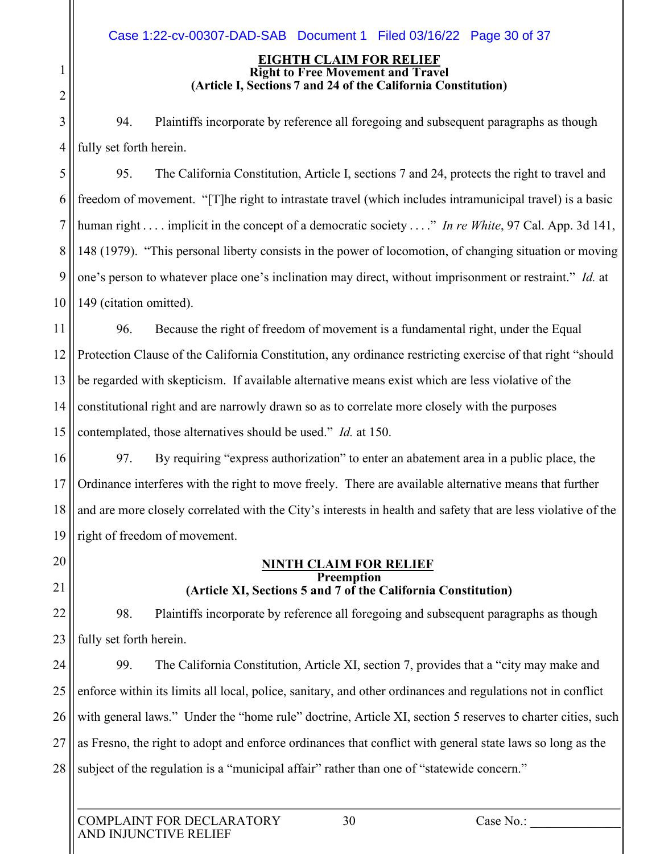#### **EIGHTH CLAIM FOR RELIEF Right to Free Movement and Travel (Article I, Sections 7 and 24 of the California Constitution)**

3 4 94. Plaintiffs incorporate by reference all foregoing and subsequent paragraphs as though fully set forth herein.

5 6 7 8 9 10 95. The California Constitution, Article I, sections 7 and 24, protects the right to travel and freedom of movement. "[T]he right to intrastate travel (which includes intramunicipal travel) is a basic human right . . . . implicit in the concept of a democratic society . . . ." *In re White*, 97 Cal. App. 3d 141, 148 (1979). "This personal liberty consists in the power of locomotion, of changing situation or moving one's person to whatever place one's inclination may direct, without imprisonment or restraint." *Id.* at 149 (citation omitted).

11 12 13 14 15 96. Because the right of freedom of movement is a fundamental right, under the Equal Protection Clause of the California Constitution, any ordinance restricting exercise of that right "should be regarded with skepticism. If available alternative means exist which are less violative of the constitutional right and are narrowly drawn so as to correlate more closely with the purposes contemplated, those alternatives should be used." *Id.* at 150.

16 17 18 19 97. By requiring "express authorization" to enter an abatement area in a public place, the Ordinance interferes with the right to move freely. There are available alternative means that further and are more closely correlated with the City's interests in health and safety that are less violative of the right of freedom of movement.

20 21

1

2

#### **NINTH CLAIM FOR RELIEF Preemption (Article XI, Sections 5 and 7 of the California Constitution)**

22 23 98. Plaintiffs incorporate by reference all foregoing and subsequent paragraphs as though fully set forth herein.

24 25 26 27 28 99. The California Constitution, Article XI, section 7, provides that a "city may make and enforce within its limits all local, police, sanitary, and other ordinances and regulations not in conflict with general laws." Under the "home rule" doctrine, Article XI, section 5 reserves to charter cities, such as Fresno, the right to adopt and enforce ordinances that conflict with general state laws so long as the subject of the regulation is a "municipal affair" rather than one of "statewide concern."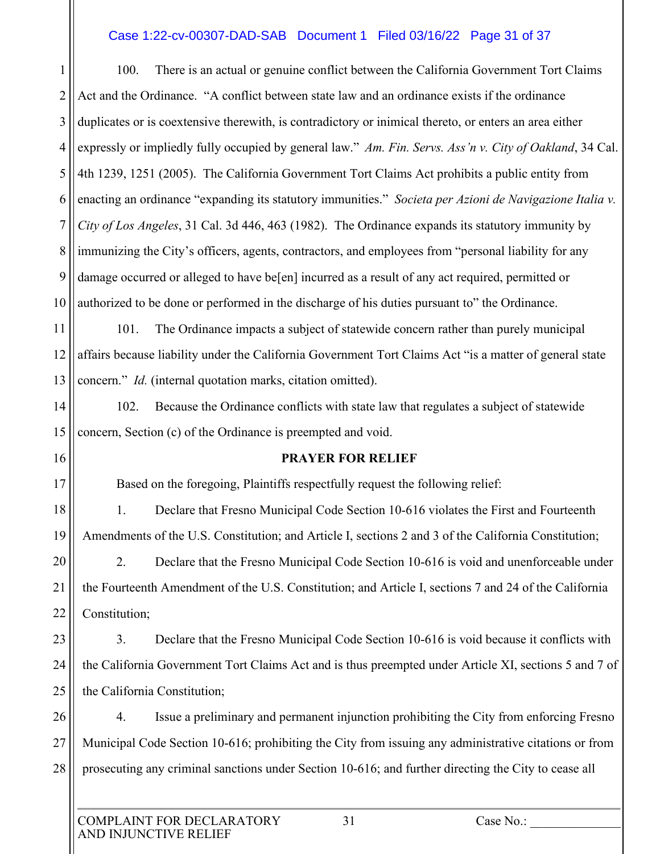#### Case 1:22-cv-00307-DAD-SAB Document 1 Filed 03/16/22 Page 31 of 37

1 2 3 4 5 6 7 8 9 10 100. There is an actual or genuine conflict between the California Government Tort Claims Act and the Ordinance. "A conflict between state law and an ordinance exists if the ordinance duplicates or is coextensive therewith, is contradictory or inimical thereto, or enters an area either expressly or impliedly fully occupied by general law."  *Am. Fin. Servs. Ass'n v. City of Oakland*, 34 Cal. 4th 1239, 1251 (2005). The California Government Tort Claims Act prohibits a public entity from enacting an ordinance "expanding its statutory immunities." *Societa per Azioni de Navigazione Italia v. City of Los Angeles*, 31 Cal. 3d 446, 463 (1982). The Ordinance expands its statutory immunity by immunizing the City's officers, agents, contractors, and employees from "personal liability for any damage occurred or alleged to have be[en] incurred as a result of any act required, permitted or authorized to be done or performed in the discharge of his duties pursuant to" the Ordinance.

11 12 13 101. The Ordinance impacts a subject of statewide concern rather than purely municipal affairs because liability under the California Government Tort Claims Act "is a matter of general state concern." *Id.* (internal quotation marks, citation omitted).

14 15 102. Because the Ordinance conflicts with state law that regulates a subject of statewide concern, Section (c) of the Ordinance is preempted and void.

16

17

21

#### **PRAYER FOR RELIEF**

Based on the foregoing, Plaintiffs respectfully request the following relief:

18 19 1. Declare that Fresno Municipal Code Section 10-616 violates the First and Fourteenth Amendments of the U.S. Constitution; and Article I, sections 2 and 3 of the California Constitution;

20 22 2. Declare that the Fresno Municipal Code Section 10-616 is void and unenforceable under the Fourteenth Amendment of the U.S. Constitution; and Article I, sections 7 and 24 of the California Constitution;

23 24 25 3. Declare that the Fresno Municipal Code Section 10-616 is void because it conflicts with the California Government Tort Claims Act and is thus preempted under Article XI, sections 5 and 7 of the California Constitution;

26 27 28 4. Issue a preliminary and permanent injunction prohibiting the City from enforcing Fresno Municipal Code Section 10-616; prohibiting the City from issuing any administrative citations or from prosecuting any criminal sanctions under Section 10-616; and further directing the City to cease all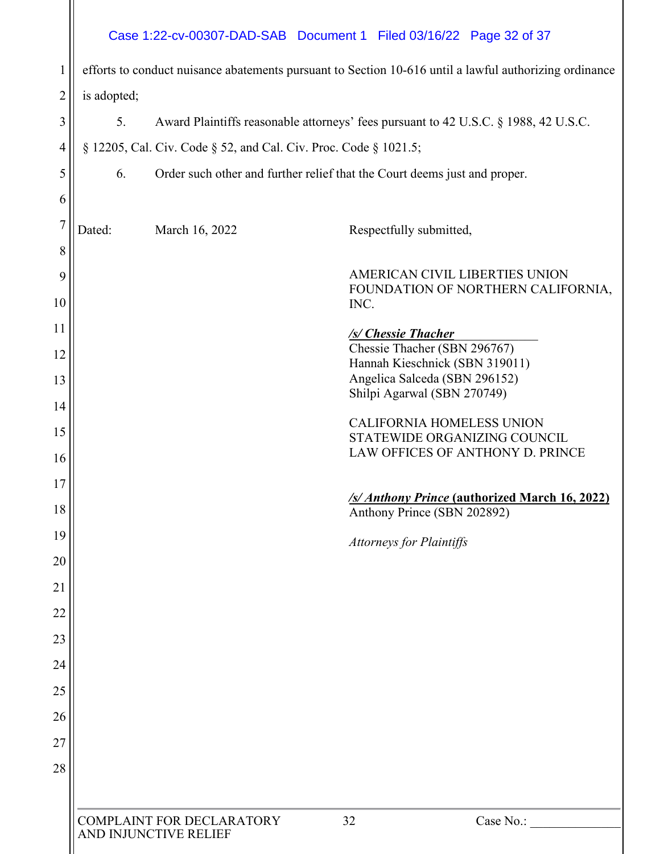# Case 1:22-cv-00307-DAD-SAB Document 1 Filed 03/16/22 Page 32 of 37

| I              | efforts to conduct nuisance abatements pursuant to Section 10-616 until a lawful authorizing ordinance |                                                                  |                                                                                      |  |  |  |
|----------------|--------------------------------------------------------------------------------------------------------|------------------------------------------------------------------|--------------------------------------------------------------------------------------|--|--|--|
| $\overline{2}$ |                                                                                                        |                                                                  |                                                                                      |  |  |  |
|                | is adopted;                                                                                            |                                                                  |                                                                                      |  |  |  |
| 3              | 5.                                                                                                     |                                                                  | Award Plaintiffs reasonable attorneys' fees pursuant to 42 U.S.C. § 1988, 42 U.S.C.  |  |  |  |
| 4              |                                                                                                        | § 12205, Cal. Civ. Code § 52, and Cal. Civ. Proc. Code § 1021.5; |                                                                                      |  |  |  |
| 5              | 6.                                                                                                     |                                                                  | Order such other and further relief that the Court deems just and proper.            |  |  |  |
| 6              |                                                                                                        |                                                                  |                                                                                      |  |  |  |
| $\overline{7}$ | Dated:                                                                                                 | March 16, 2022                                                   | Respectfully submitted,                                                              |  |  |  |
| 8              |                                                                                                        |                                                                  |                                                                                      |  |  |  |
| 9              |                                                                                                        |                                                                  | AMERICAN CIVIL LIBERTIES UNION<br>FOUNDATION OF NORTHERN CALIFORNIA,                 |  |  |  |
| 10             |                                                                                                        |                                                                  | INC.                                                                                 |  |  |  |
| 11             |                                                                                                        |                                                                  | /s/ Chessie Thacher                                                                  |  |  |  |
| 12             |                                                                                                        |                                                                  | Chessie Thacher (SBN 296767)<br>Hannah Kieschnick (SBN 319011)                       |  |  |  |
| 13             |                                                                                                        |                                                                  | Angelica Salceda (SBN 296152)                                                        |  |  |  |
| 14             | Shilpi Agarwal (SBN 270749)                                                                            |                                                                  |                                                                                      |  |  |  |
| 15             |                                                                                                        |                                                                  | <b>CALIFORNIA HOMELESS UNION</b><br>STATEWIDE ORGANIZING COUNCIL                     |  |  |  |
| 16             | LAW OFFICES OF ANTHONY D. PRINCE                                                                       |                                                                  |                                                                                      |  |  |  |
| 17             |                                                                                                        |                                                                  |                                                                                      |  |  |  |
| 18             |                                                                                                        |                                                                  | <b>/s/ Anthony Prince (authorized March 16, 2022)</b><br>Anthony Prince (SBN 202892) |  |  |  |
| 19             |                                                                                                        |                                                                  | <b>Attorneys for Plaintiffs</b>                                                      |  |  |  |
| 20             |                                                                                                        |                                                                  |                                                                                      |  |  |  |
| 21             |                                                                                                        |                                                                  |                                                                                      |  |  |  |
| 22             |                                                                                                        |                                                                  |                                                                                      |  |  |  |
| 23             |                                                                                                        |                                                                  |                                                                                      |  |  |  |
| 24             |                                                                                                        |                                                                  |                                                                                      |  |  |  |
| 25             |                                                                                                        |                                                                  |                                                                                      |  |  |  |
| 26             |                                                                                                        |                                                                  |                                                                                      |  |  |  |
| 27             |                                                                                                        |                                                                  |                                                                                      |  |  |  |
| 28             |                                                                                                        |                                                                  |                                                                                      |  |  |  |
|                |                                                                                                        |                                                                  |                                                                                      |  |  |  |
|                |                                                                                                        | COMPLAINT FOR DECLARATORY<br>AND INJUNCTIVE RELIEF               | 32<br>Case No.:                                                                      |  |  |  |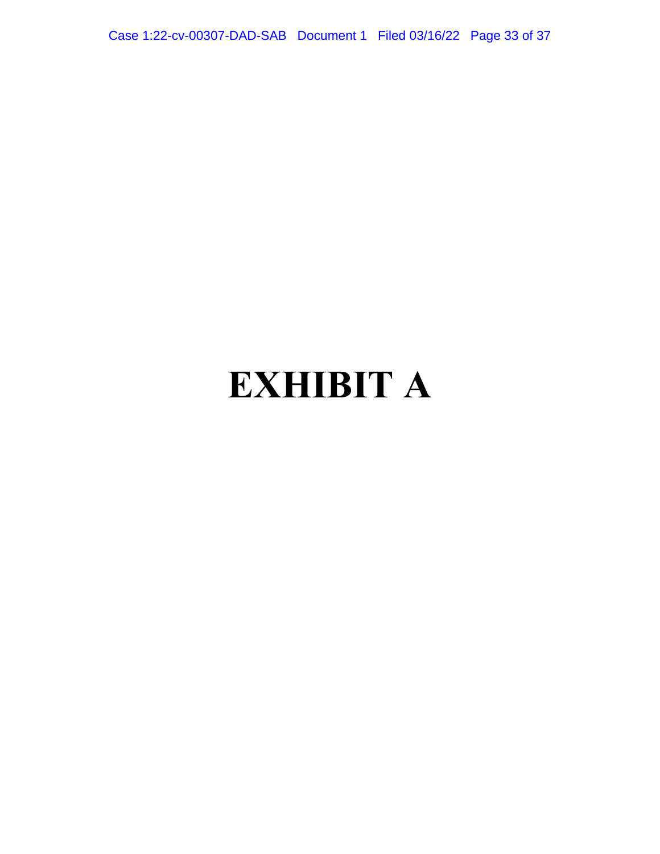<span id="page-32-0"></span>Case 1:22-cv-00307-DAD-SAB Document 1 Filed 03/16/22 Page 33 of 37

# **EXHIBIT A**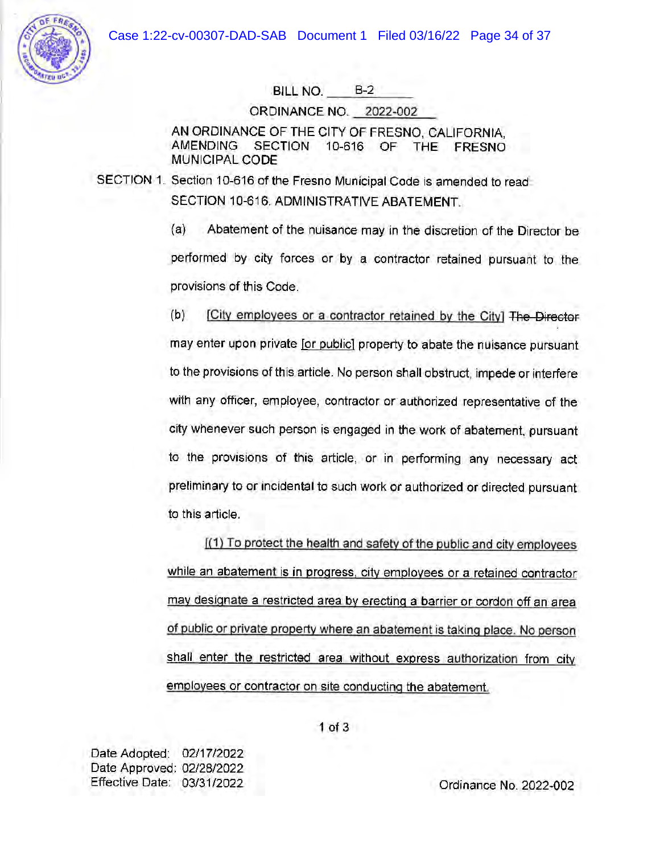

BILL NO. B-2

ORDINANCE NO. 2022-002

AN ORDINANCE OF THE CITY OF FRESNO, CALIFORNIA, AMENDING SECTION 10-616 OF THE FRESNO MUNICIPAL CODE

SECTION 1. Section 10-616 of the Fresno Municipal Code is amended to read. SECTION 10-616. ADMINISTRATIVE ABATEMENT.

> (a) Abatement of the nuisance may in the discretion of the Director be performed by city forces or by a contractor retained pursuant to the provisions of this Code.

> (b) [City employees or a contractor retained by the City) The DiFector may enter upon private [or public) property *to* abate the nuisance pursuant to the provisions of this article. No person shall obstruct, impede or interfere with any officer, employee, contractor or authorized representative of the city whenever such person is engaged in the work of abatement, pursuant to the provisions of this article, or in performing any necessary act preliminary to or incidental to such work or authorized or directed pursuant to this article.

> $(1)$  To protect the health and safety of the public and city employees while an abatement is in progress, city employees or a retained contractor may designate a restricted area by erecting a barrier or cordon off an area of public or private property where an abatement is taking place. No person shall enter the restricted area without express authorization from city employees or contractor on site conducting the abatement.

Date Adopted: 02/17/2022 Date Approved: 02/28/2022 Effective Date: 03/31/2022

Ordinance No. 2022-002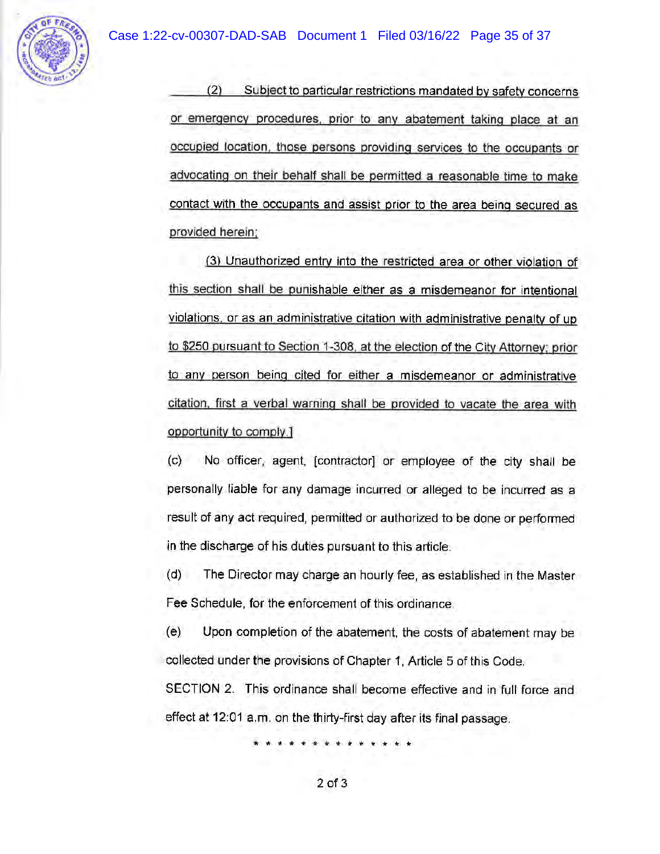

(2) Subject to particular restrictions mandated by safety concerns or emergency procedures. prior to any abatement taking place at an occupied location. those persons providing services to the occupants or advocating on their behalf shall be permitted a reasonable time to make contact with the occupants and assist prior to the area being secured as provided herein:

(3) Unauthorized entry into the restricted area or other violation of this section shall be punishable either as a misdemeanor for intentional violations, or as an administrative citation with administrative penalty of up to \$250 pursuant to Section 1-308, at the election of the City Attorney: prior to any person being cited for either a misdemeanor or administrative citation, first a verbal warning shall be provided to vacate the area with opportunity to comply.}

(c) No officer, agent, [contractor] or employee of the city shall be personally liable for any damage incurred or alleged to be incurred as a result of any act required, permitted or authorized to be done or performed in the discharge of his duties pursuant to this article.

(d) The Director may charge an hourly fee, as established in the Master Fee Schedule, for the enforcement of this ordinance.

(e) Upon completion of the abatement, the costs of abatement may be collected under the provisions of Chapter 1, Article 5 of this Code.

SECTION 2. This ordinance shall become effective and in full force and effect at 12:01 a.m. on the thirty-first day after its final passage.

\* \* \* \* \* \* \* \* \* \* w \* \* \*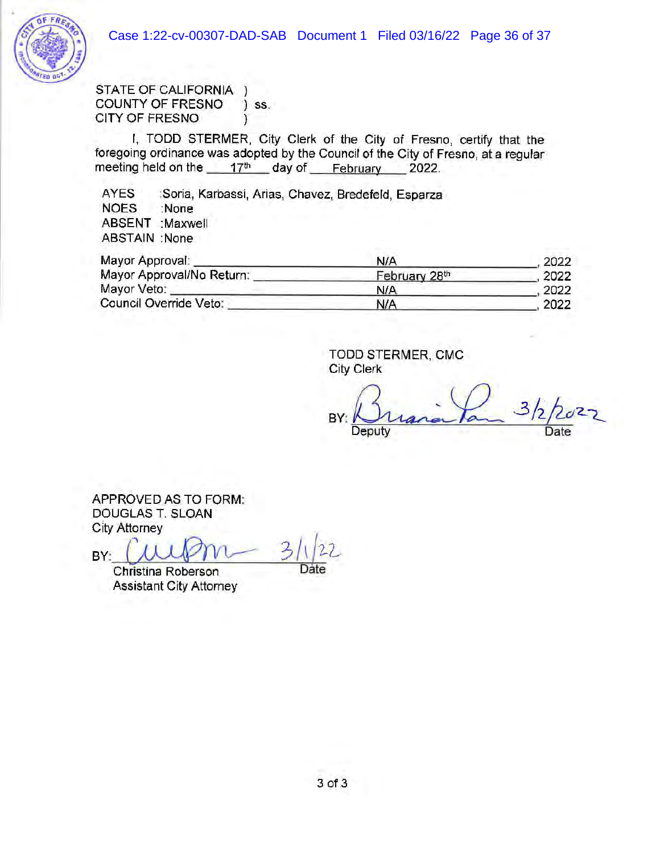

STATE OF CALIFORNIA ) COUNTY OF FRESNO ) ss. CITY OF FRESNO (1)

I, TODD STERMER, City Clerk of the City of Fresno, certify that the foregoing ordinance was adopted by the Council of the City of Fresno, at a regular meeting held on the  $17<sup>th</sup>$  day of February 2022.

AYES :Soria, Karbassi, Arias, Chavez, Bredefeld, Esparza NOES :None ABSENT :Maxwell ABSTAIN :None

| Mayor Approval:           | <b>N/A</b>    | 2022 |
|---------------------------|---------------|------|
| Mayor Approval/No Return: | February 28th | 2022 |
| Mayor Veto:               | N/A           | 2022 |
| Council Override Veto:    | N/A           | 2022 |

TODD STERMER, CMG City Clerk

 $Bx:Brainin$  3/2/2027 Deputy

APPROVED AS TO FORM: DOUGLAS T. SLOAN *City* Attorney

APPROVED AS TO FORM:<br>DOUGLAS T. SLOAN<br>City Attorney<br>BY: Christina Roberson

Christina Roberson Assistant City Attorney

Date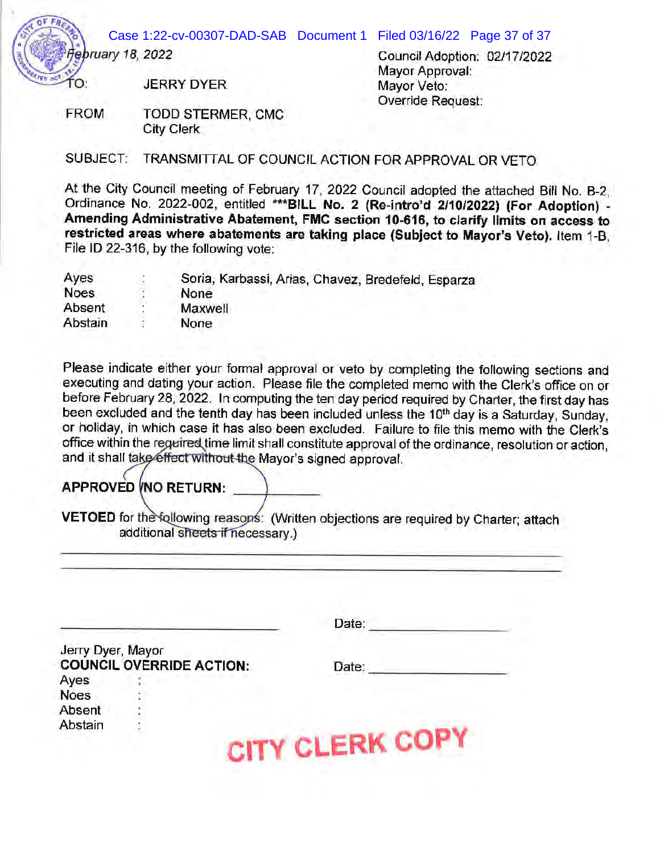Case 1:22-cv-00307-DAD-SAB Document 1 Filed 03/16/22 Page 37 of 37

ΓO.

*ruary 18, 2022* 

Council Adoption: 02/17/2022 Mayor Approval: Mayor Veto: Override Request:

JERRY DYER

FROM TODD STERMER, CMC City Clerk

SUBJECT: TRANSMITTAL OF COUNCIL ACTION FOR APPROVAL OR VETO

At the City Council meeting of February 17, 2022 Council adopted the attached Bill No. B-2, Ordinance No. 2022-002, entitled **"'\*\*BILL No. 2 (Re-intro'd 2/10/2022) (For Adoption)** - **Amending Administrative Abatement, FMC section 10-616, to clarify limits on access to restricted areas where abatements are taking place (Subject to Mayor's Veto).** Item 1-B, File ID 22-316, by the following vote:

| Ayes        | ۰ | Soria, Karbassi, Arias, Chavez, Bredefeld, Esparza |
|-------------|---|----------------------------------------------------|
| <b>Noes</b> |   | None                                               |
| Absent      |   | Maxwell                                            |
| Abstain     |   | None                                               |

Please indicate either your formal approval or veto by completing the following sections and executing and dating your action. Please file the completed memo with the Clerk's office on or before February 28, 2022. In computing the ten day period required by Charter, the first day has been excluded and the tenth day has been included unless the 10<sup>th</sup> day is a Saturday, Sunday, or holiday, in which case it has also been excluded. Failure to file this memo with the Clerk's office within the reguired time limit shall constitute approval of the ordinance, resolution or action, and it shall take effect without the Mayor's signed approval.

# **APPROVED INO RETURN:**

**VETOED** for the following reasons: (Written objections are required by Charter; attach additional sheets if necessary.)

|                   |                                 | Date:            |
|-------------------|---------------------------------|------------------|
| Jerry Dyer, Mayor |                                 |                  |
|                   | <b>COUNCIL OVERRIDE ACTION:</b> | Date:            |
| Ayes              |                                 |                  |
| <b>Noes</b>       |                                 |                  |
| Absent            |                                 |                  |
| Abstain           |                                 |                  |
|                   |                                 | <b>CLERK COP</b> |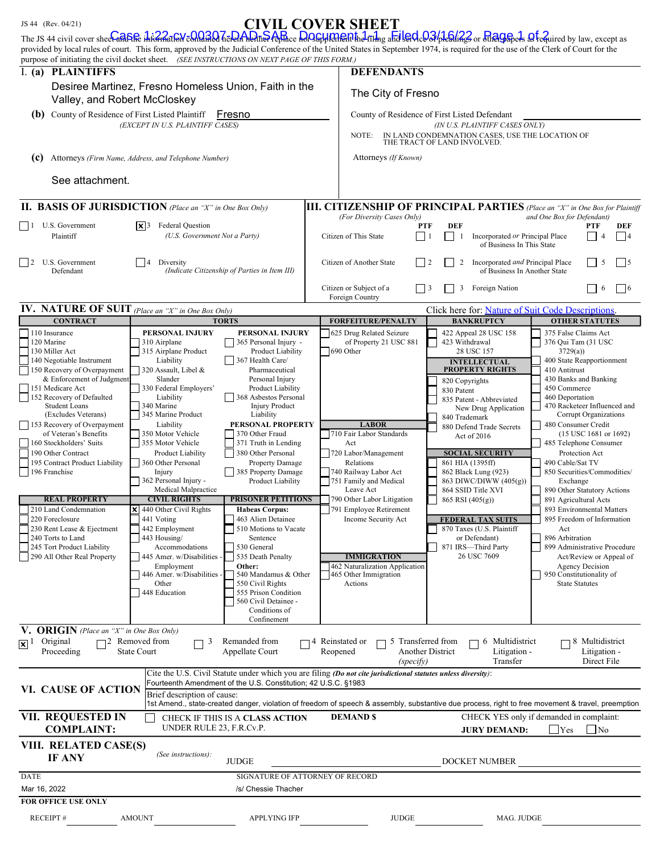|  | 344 (Rev. 04/21) |                                                    |  |
|--|------------------|----------------------------------------------------|--|
|  |                  | $\sim$ 10.44 $\sim$ 10.11 $\sim$ 0.000 $\sim$ 0.26 |  |

# JS 44 (Rev. 04/21) CIVIL COVER SHEET

|                                                                                                                  |                                                                              |                                                                | Crynd CO y din bindd i<br>The JS 44 civil cover sheelaft She incanal of condition Term Apple Post Post with a film and led Confiedings or the Green's afternined by law, except as<br>provided by local rules of court. This form, approved by the Judicial Conference of the United States in September 1974, is required for the use of the Clerk of Court for the |                                                                                    |                                                               |  |
|------------------------------------------------------------------------------------------------------------------|------------------------------------------------------------------------------|----------------------------------------------------------------|----------------------------------------------------------------------------------------------------------------------------------------------------------------------------------------------------------------------------------------------------------------------------------------------------------------------------------------------------------------------|------------------------------------------------------------------------------------|---------------------------------------------------------------|--|
| purpose of initiating the civil docket sheet. (SEE INSTRUCTIONS ON NEXT PAGE OF THIS FORM.)<br><b>DEFENDANTS</b> |                                                                              |                                                                |                                                                                                                                                                                                                                                                                                                                                                      |                                                                                    |                                                               |  |
| I. (a) PLAINTIFFS<br>Valley, and Robert McCloskey                                                                | Desiree Martinez, Fresno Homeless Union, Faith in the                        |                                                                | The City of Fresno                                                                                                                                                                                                                                                                                                                                                   |                                                                                    |                                                               |  |
| County of Residence of First Listed Plaintiff<br>(b)                                                             |                                                                              | Fresno                                                         |                                                                                                                                                                                                                                                                                                                                                                      | County of Residence of First Listed Defendant                                      |                                                               |  |
|                                                                                                                  | (EXCEPT IN U.S. PLAINTIFF CASES)                                             |                                                                |                                                                                                                                                                                                                                                                                                                                                                      | (IN U.S. PLAINTIFF CASES ONLY)                                                     |                                                               |  |
|                                                                                                                  |                                                                              |                                                                | NOTE:                                                                                                                                                                                                                                                                                                                                                                | IN LAND CONDEMNATION CASES, USE THE LOCATION OF<br>THE TRACT OF LAND INVOLVED.     |                                                               |  |
| (c)                                                                                                              | Attorneys (Firm Name, Address, and Telephone Number)                         |                                                                | Attorneys (If Known)                                                                                                                                                                                                                                                                                                                                                 |                                                                                    |                                                               |  |
| See attachment.                                                                                                  |                                                                              |                                                                |                                                                                                                                                                                                                                                                                                                                                                      |                                                                                    |                                                               |  |
| <b>II. BASIS OF JURISDICTION</b> (Place an "X" in One Box Only)                                                  |                                                                              |                                                                | <b>III. CITIZENSHIP OF PRINCIPAL PARTIES</b> (Place an "X" in One Box for Plaintiff                                                                                                                                                                                                                                                                                  |                                                                                    |                                                               |  |
| U.S. Government<br>$\Box$<br>Plaintiff                                                                           | <b>Federal Question</b><br>$ \mathbf{x} $ 3<br>(U.S. Government Not a Party) |                                                                | (For Diversity Cases Only)<br>and One Box for Defendant)<br><b>DEF</b><br><b>PTF</b><br><b>DEF</b><br>PTF<br>Citizen of This State<br>Incorporated or Principal Place<br>$\vert$ 1<br> 4<br>-1<br>of Business In This State                                                                                                                                          |                                                                                    |                                                               |  |
| U.S. Government<br>$\overline{12}$<br>Defendant                                                                  | Diversity<br>4                                                               | (Indicate Citizenship of Parties in Item III)                  | Citizen of Another State<br>$\frac{1}{2}$                                                                                                                                                                                                                                                                                                                            | Incorporated and Principal Place<br>$\overline{c}$<br>of Business In Another State | 5<br>$\frac{15}{2}$                                           |  |
|                                                                                                                  |                                                                              |                                                                | Citizen or Subject of a<br>Foreign Country                                                                                                                                                                                                                                                                                                                           | 3<br>Foreign Nation                                                                | $\vert$   6<br>6                                              |  |
| IV. NATURE OF SUIT (Place an "X" in One Box Only)<br><b>CONTRACT</b>                                             |                                                                              | <b>TORTS</b>                                                   | <b>FORFEITURE/PENALTY</b>                                                                                                                                                                                                                                                                                                                                            | Click here for: Nature of Suit Code Descriptions.<br><b>BANKRUPTCY</b>             | <b>OTHER STATUTES</b>                                         |  |
| 110 Insurance<br>120 Marine                                                                                      | PERSONAL INJURY<br>310 Airplane                                              | PERSONAL INJURY<br>365 Personal Injury -                       | 625 Drug Related Seizure<br>of Property 21 USC 881                                                                                                                                                                                                                                                                                                                   | 422 Appeal 28 USC 158<br>423 Withdrawal                                            | 375 False Claims Act<br>376 Qui Tam (31 USC                   |  |
| 130 Miller Act                                                                                                   | 315 Airplane Product                                                         | Product Liability                                              | 690 Other                                                                                                                                                                                                                                                                                                                                                            | 28 USC 157                                                                         | 3729(a)                                                       |  |
| 140 Negotiable Instrument<br>150 Recovery of Overpayment                                                         | Liability<br>320 Assault, Libel &                                            | 367 Health Care/<br>Pharmaceutical                             |                                                                                                                                                                                                                                                                                                                                                                      | <b>INTELLECTUAL</b><br><b>PROPERTY RIGHTS</b>                                      | 400 State Reapportionment<br>410 Antitrust                    |  |
| & Enforcement of Judgment                                                                                        | Slander                                                                      | Personal Injury                                                |                                                                                                                                                                                                                                                                                                                                                                      | 820 Copyrights                                                                     | 430 Banks and Banking                                         |  |
| 151 Medicare Act                                                                                                 | 330 Federal Employers'                                                       | Product Liability                                              |                                                                                                                                                                                                                                                                                                                                                                      | 830 Patent                                                                         | 450 Commerce                                                  |  |
| 152 Recovery of Defaulted<br><b>Student Loans</b>                                                                | Liability<br>340 Marine                                                      | 368 Asbestos Personal<br><b>Injury Product</b>                 |                                                                                                                                                                                                                                                                                                                                                                      | 835 Patent - Abbreviated                                                           | 460 Deportation<br>470 Racketeer Influenced and               |  |
| (Excludes Veterans)                                                                                              | 345 Marine Product                                                           | Liability                                                      |                                                                                                                                                                                                                                                                                                                                                                      | New Drug Application<br>840 Trademark                                              | Corrupt Organizations                                         |  |
| 153 Recovery of Overpayment                                                                                      | Liability                                                                    | PERSONAL PROPERTY                                              | <b>LABOR</b>                                                                                                                                                                                                                                                                                                                                                         | 880 Defend Trade Secrets                                                           | 480 Consumer Credit                                           |  |
| of Veteran's Benefits                                                                                            | 350 Motor Vehicle                                                            | 370 Other Fraud                                                | 710 Fair Labor Standards                                                                                                                                                                                                                                                                                                                                             | Act of 2016                                                                        | $(15$ USC 1681 or 1692)                                       |  |
| 160 Stockholders' Suits<br>190 Other Contract                                                                    | 355 Motor Vehicle<br><b>Product Liability</b>                                | 371 Truth in Lending<br>380 Other Personal                     | Act<br>720 Labor/Management                                                                                                                                                                                                                                                                                                                                          | <b>SOCIAL SECURITY</b>                                                             | 485 Telephone Consumer<br>Protection Act                      |  |
| 195 Contract Product Liability                                                                                   | 360 Other Personal                                                           | <b>Property Damage</b>                                         | Relations                                                                                                                                                                                                                                                                                                                                                            | 861 HIA (1395ff)                                                                   | 490 Cable/Sat TV                                              |  |
| 196 Franchise                                                                                                    | Injury                                                                       | 385 Property Damage                                            | 740 Railway Labor Act                                                                                                                                                                                                                                                                                                                                                | 862 Black Lung (923)                                                               | 850 Securities/Commodities/                                   |  |
|                                                                                                                  | 362 Personal Injury -<br>Medical Malpractice                                 | Product Liability                                              | 751 Family and Medical<br>Leave Act                                                                                                                                                                                                                                                                                                                                  | 863 DIWC/DIWW (405(g))<br>864 SSID Title XVI                                       | Exchange<br>890 Other Statutory Actions                       |  |
| <b>REAL PROPERTY</b>                                                                                             | <b>CIVIL RIGHTS</b>                                                          | <b>PRISONER PETITIONS</b>                                      | 790 Other Labor Litigation                                                                                                                                                                                                                                                                                                                                           | $865$ RSI $(405(g))$                                                               | 891 Agricultural Acts                                         |  |
| 210 Land Condemnation                                                                                            | $\times$ 440 Other Civil Rights                                              | <b>Habeas Corpus:</b>                                          | 791 Employee Retirement                                                                                                                                                                                                                                                                                                                                              |                                                                                    | 893 Environmental Matters                                     |  |
| 220 Foreclosure                                                                                                  | 441 Voting                                                                   | 463 Alien Detainee                                             | Income Security Act                                                                                                                                                                                                                                                                                                                                                  | <b>FEDERAL TAX SUITS</b>                                                           | 895 Freedom of Information                                    |  |
| 230 Rent Lease & Ejectment                                                                                       | 442 Employment                                                               | 510 Motions to Vacate                                          |                                                                                                                                                                                                                                                                                                                                                                      | 870 Taxes (U.S. Plaintiff                                                          | Act<br>896 Arbitration                                        |  |
| 240 Torts to Land<br>245 Tort Product Liability                                                                  | 443 Housing/<br>Accommodations                                               | Sentence<br>530 General                                        |                                                                                                                                                                                                                                                                                                                                                                      | or Defendant)<br>871 IRS-Third Party                                               | 899 Administrative Procedure                                  |  |
| 290 All Other Real Property                                                                                      | 445 Amer. w/Disabilities                                                     | 535 Death Penalty                                              | <b>IMMIGRATION</b>                                                                                                                                                                                                                                                                                                                                                   | 26 USC 7609                                                                        | Act/Review or Appeal of                                       |  |
|                                                                                                                  | Employment                                                                   | Other:                                                         | 462 Naturalization Application                                                                                                                                                                                                                                                                                                                                       |                                                                                    | <b>Agency Decision</b>                                        |  |
|                                                                                                                  | 446 Amer. w/Disabilities<br>Other                                            | 540 Mandamus & Other<br>550 Civil Rights                       | 465 Other Immigration<br>Actions                                                                                                                                                                                                                                                                                                                                     |                                                                                    | 950 Constitutionality of<br><b>State Statutes</b>             |  |
|                                                                                                                  | 448 Education                                                                | 555 Prison Condition                                           |                                                                                                                                                                                                                                                                                                                                                                      |                                                                                    |                                                               |  |
|                                                                                                                  |                                                                              | 560 Civil Detainee -<br>Conditions of                          |                                                                                                                                                                                                                                                                                                                                                                      |                                                                                    |                                                               |  |
|                                                                                                                  |                                                                              | Confinement                                                    |                                                                                                                                                                                                                                                                                                                                                                      |                                                                                    |                                                               |  |
| $\overline{\mathbf{V}}$ . <b>ORIGIN</b> (Place an "X" in One Box Only)                                           |                                                                              |                                                                |                                                                                                                                                                                                                                                                                                                                                                      |                                                                                    |                                                               |  |
| Original<br>$ \mathbf{x} ^{1}$<br>Proceeding                                                                     | $\Box$ 2 Removed from<br>3<br><b>State Court</b>                             | Remanded from<br>Appellate Court                               | 5 Transferred from<br>74 Reinstated or<br>Reopened<br>(specify)                                                                                                                                                                                                                                                                                                      | 6 Multidistrict<br><b>Another District</b><br>Litigation -<br>Transfer             | 8 Multidistrict<br>Litigation -<br>Direct File                |  |
|                                                                                                                  |                                                                              |                                                                | Cite the U.S. Civil Statute under which you are filing (Do not cite jurisdictional statutes unless diversity):                                                                                                                                                                                                                                                       |                                                                                    |                                                               |  |
|                                                                                                                  |                                                                              | Fourteenth Amendment of the U.S. Constitution; 42 U.S.C. §1983 |                                                                                                                                                                                                                                                                                                                                                                      |                                                                                    |                                                               |  |
| VI. CAUSE OF ACTION                                                                                              | Brief description of cause:                                                  |                                                                |                                                                                                                                                                                                                                                                                                                                                                      |                                                                                    |                                                               |  |
|                                                                                                                  |                                                                              |                                                                | 1st Amend., state-created danger, violation of freedom of speech & assembly, substantive due process, right to free movement & travel, preemption                                                                                                                                                                                                                    |                                                                                    |                                                               |  |
| VII. REQUESTED IN<br>CHECK IF THIS IS A CLASS ACTION<br>UNDER RULE 23, F.R.Cv.P.<br><b>COMPLAINT:</b>            |                                                                              |                                                                | <b>DEMAND \$</b>                                                                                                                                                                                                                                                                                                                                                     | <b>JURY DEMAND:</b>                                                                | CHECK YES only if demanded in complaint:<br>Yes<br>$\vert$ No |  |
| VIII. RELATED CASE(S)<br><b>IF ANY</b>                                                                           | (See instructions):                                                          |                                                                |                                                                                                                                                                                                                                                                                                                                                                      |                                                                                    |                                                               |  |
|                                                                                                                  |                                                                              | <b>JUDGE</b>                                                   |                                                                                                                                                                                                                                                                                                                                                                      | DOCKET NUMBER                                                                      |                                                               |  |
| <b>DATE</b>                                                                                                      |                                                                              | SIGNATURE OF ATTORNEY OF RECORD                                |                                                                                                                                                                                                                                                                                                                                                                      |                                                                                    |                                                               |  |
| Mar 16, 2022                                                                                                     |                                                                              | /s/ Chessie Thacher                                            |                                                                                                                                                                                                                                                                                                                                                                      |                                                                                    |                                                               |  |
| <b>FOR OFFICE USE ONLY</b>                                                                                       |                                                                              |                                                                |                                                                                                                                                                                                                                                                                                                                                                      |                                                                                    |                                                               |  |
| <b>RECEIPT#</b>                                                                                                  | <b>AMOUNT</b>                                                                | <b>APPLYING IFP</b>                                            | <b>JUDGE</b>                                                                                                                                                                                                                                                                                                                                                         | MAG. JUDGE                                                                         |                                                               |  |